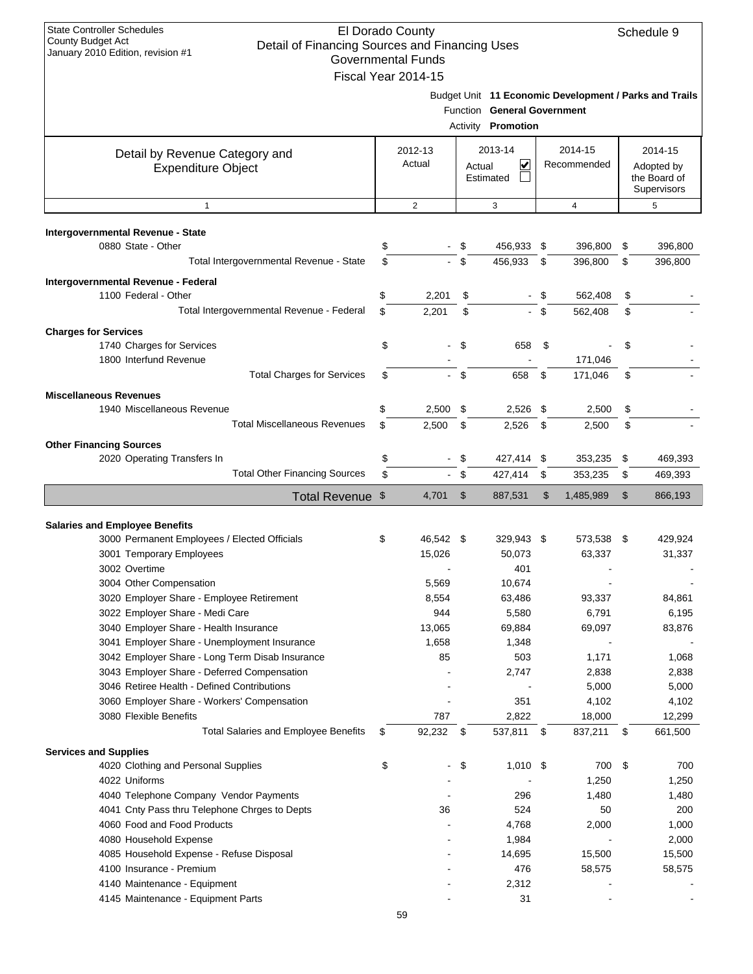| <b>State Controller Schedules</b><br>El Dorado County<br>Schedule 9<br>County Budget Act<br>Detail of Financing Sources and Financing Uses<br>January 2010 Edition, revision #1<br><b>Governmental Funds</b><br>Fiscal Year 2014-15 |          |                   |              |                                                   |    |                                                        |          |                                                      |  |
|-------------------------------------------------------------------------------------------------------------------------------------------------------------------------------------------------------------------------------------|----------|-------------------|--------------|---------------------------------------------------|----|--------------------------------------------------------|----------|------------------------------------------------------|--|
|                                                                                                                                                                                                                                     |          |                   |              | Function General Government<br>Activity Promotion |    | Budget Unit 11 Economic Development / Parks and Trails |          |                                                      |  |
| Detail by Revenue Category and<br><b>Expenditure Object</b>                                                                                                                                                                         |          | 2012-13<br>Actual | Actual       | 2013-14<br>V<br>Estimated                         |    | 2014-15<br>Recommended                                 |          | 2014-15<br>Adopted by<br>the Board of<br>Supervisors |  |
| $\mathbf{1}$                                                                                                                                                                                                                        |          | 2                 |              | 3                                                 |    | $\overline{4}$                                         |          | 5                                                    |  |
| Intergovernmental Revenue - State                                                                                                                                                                                                   |          |                   |              |                                                   |    |                                                        |          |                                                      |  |
| 0880 State - Other                                                                                                                                                                                                                  | \$       |                   | \$           | 456,933                                           | \$ | 396,800                                                | \$       | 396,800                                              |  |
| Total Intergovernmental Revenue - State                                                                                                                                                                                             | \$       |                   | \$           | 456,933                                           | \$ | 396,800                                                | \$       | 396,800                                              |  |
| Intergovernmental Revenue - Federal                                                                                                                                                                                                 |          |                   |              |                                                   |    |                                                        |          |                                                      |  |
| 1100 Federal - Other                                                                                                                                                                                                                | \$       | 2,201             | \$           |                                                   | \$ | 562,408                                                | \$       |                                                      |  |
| Total Intergovernmental Revenue - Federal                                                                                                                                                                                           | \$       | 2,201             | \$           |                                                   | \$ | 562,408                                                | \$       |                                                      |  |
| <b>Charges for Services</b>                                                                                                                                                                                                         |          |                   |              |                                                   |    |                                                        |          |                                                      |  |
| 1740 Charges for Services                                                                                                                                                                                                           | \$       |                   | \$           | 658                                               | \$ |                                                        | \$       |                                                      |  |
| 1800 Interfund Revenue                                                                                                                                                                                                              |          |                   |              |                                                   |    | 171,046                                                |          |                                                      |  |
| <b>Total Charges for Services</b>                                                                                                                                                                                                   | \$       |                   | \$           | 658                                               | \$ | 171,046                                                | \$       |                                                      |  |
| <b>Miscellaneous Revenues</b>                                                                                                                                                                                                       |          |                   |              |                                                   |    |                                                        |          |                                                      |  |
| 1940 Miscellaneous Revenue<br><b>Total Miscellaneous Revenues</b>                                                                                                                                                                   | \$       | 2,500             | \$           | 2,526                                             | \$ | 2,500                                                  | \$       |                                                      |  |
|                                                                                                                                                                                                                                     | \$       | 2,500             | \$           | 2,526                                             | \$ | 2,500                                                  | \$       |                                                      |  |
| <b>Other Financing Sources</b>                                                                                                                                                                                                      |          |                   |              |                                                   |    |                                                        |          |                                                      |  |
| 2020 Operating Transfers In<br><b>Total Other Financing Sources</b>                                                                                                                                                                 | \$<br>\$ |                   | \$<br>\$     | 427,414 \$<br>427,414                             | \$ | 353,235<br>353,235                                     | \$<br>\$ | 469,393<br>469,393                                   |  |
|                                                                                                                                                                                                                                     |          |                   |              |                                                   |    |                                                        |          |                                                      |  |
| Total Revenue \$                                                                                                                                                                                                                    |          | 4,701             | $\mathbb{S}$ | 887,531                                           | \$ | 1,485,989                                              | \$       | 866,193                                              |  |
| <b>Salaries and Employee Benefits</b>                                                                                                                                                                                               |          |                   |              |                                                   |    |                                                        |          |                                                      |  |
| 3000 Permanent Employees / Elected Officials                                                                                                                                                                                        | \$       | 46,542 \$         |              | 329,943 \$                                        |    | 573,538                                                | - \$     | 429,924                                              |  |
| 3001 Temporary Employees                                                                                                                                                                                                            |          | 15,026            |              | 50,073                                            |    | 63,337                                                 |          | 31,337                                               |  |
| 3002 Overtime                                                                                                                                                                                                                       |          |                   |              | 401                                               |    |                                                        |          |                                                      |  |
| 3004 Other Compensation                                                                                                                                                                                                             |          | 5,569             |              | 10,674                                            |    |                                                        |          |                                                      |  |
| 3020 Employer Share - Employee Retirement                                                                                                                                                                                           |          | 8,554             |              | 63,486                                            |    | 93,337                                                 |          | 84,861                                               |  |
| 3022 Employer Share - Medi Care                                                                                                                                                                                                     |          | 944               |              | 5,580                                             |    | 6,791                                                  |          | 6,195                                                |  |
| 3040 Employer Share - Health Insurance                                                                                                                                                                                              |          | 13,065            |              | 69,884                                            |    | 69,097                                                 |          | 83,876                                               |  |
| 3041 Employer Share - Unemployment Insurance<br>3042 Employer Share - Long Term Disab Insurance                                                                                                                                     |          | 1,658<br>85       |              | 1,348<br>503                                      |    | 1,171                                                  |          | 1,068                                                |  |
| 3043 Employer Share - Deferred Compensation                                                                                                                                                                                         |          |                   |              | 2,747                                             |    | 2,838                                                  |          | 2,838                                                |  |
| 3046 Retiree Health - Defined Contributions                                                                                                                                                                                         |          |                   |              |                                                   |    | 5,000                                                  |          | 5,000                                                |  |
| 3060 Employer Share - Workers' Compensation                                                                                                                                                                                         |          |                   |              | 351                                               |    | 4,102                                                  |          | 4,102                                                |  |
| 3080 Flexible Benefits                                                                                                                                                                                                              |          | 787               |              | 2,822                                             |    | 18,000                                                 |          | 12,299                                               |  |
| <b>Total Salaries and Employee Benefits</b>                                                                                                                                                                                         | \$       | 92,232            | - \$         | 537,811 \$                                        |    | 837,211                                                | \$       | 661,500                                              |  |
| <b>Services and Supplies</b>                                                                                                                                                                                                        |          |                   |              |                                                   |    |                                                        |          |                                                      |  |
| 4020 Clothing and Personal Supplies                                                                                                                                                                                                 | \$       |                   | \$           | 1,010 \$                                          |    | 700                                                    | \$       | 700                                                  |  |
| 4022 Uniforms                                                                                                                                                                                                                       |          |                   |              |                                                   |    | 1,250                                                  |          | 1,250                                                |  |
| 4040 Telephone Company Vendor Payments                                                                                                                                                                                              |          |                   |              | 296                                               |    | 1,480                                                  |          | 1,480                                                |  |
| 4041 Cnty Pass thru Telephone Chrges to Depts                                                                                                                                                                                       |          | 36                |              | 524                                               |    | 50                                                     |          | 200                                                  |  |
| 4060 Food and Food Products                                                                                                                                                                                                         |          |                   |              | 4,768                                             |    | 2,000                                                  |          | 1,000                                                |  |
| 4080 Household Expense                                                                                                                                                                                                              |          |                   |              | 1,984                                             |    |                                                        |          | 2,000                                                |  |
| 4085 Household Expense - Refuse Disposal<br>4100 Insurance - Premium                                                                                                                                                                |          |                   |              | 14,695<br>476                                     |    | 15,500<br>58,575                                       |          | 15,500<br>58,575                                     |  |
| 4140 Maintenance - Equipment                                                                                                                                                                                                        |          |                   |              | 2,312                                             |    |                                                        |          |                                                      |  |
| 4145 Maintenance - Equipment Parts                                                                                                                                                                                                  |          |                   |              | 31                                                |    |                                                        |          |                                                      |  |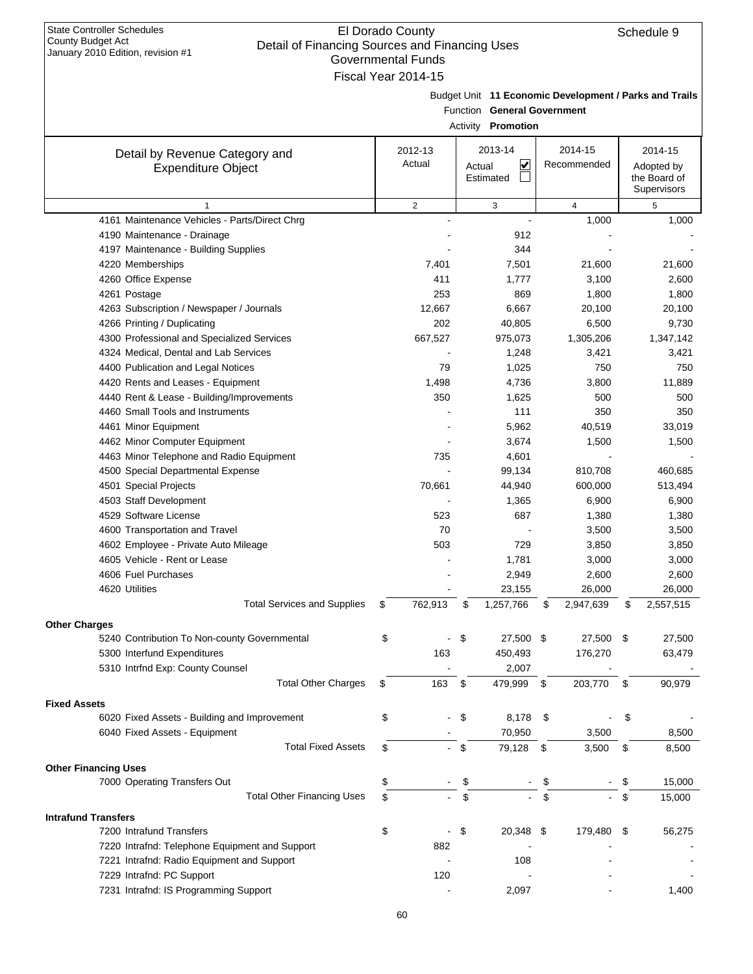| January 2010 Edition, revision #1                           |    | Governmental Funds  |                             |      |                                                        |      |              |
|-------------------------------------------------------------|----|---------------------|-----------------------------|------|--------------------------------------------------------|------|--------------|
|                                                             |    | Fiscal Year 2014-15 |                             |      |                                                        |      |              |
|                                                             |    |                     |                             |      | Budget Unit 11 Economic Development / Parks and Trails |      |              |
|                                                             |    |                     | Function General Government |      |                                                        |      |              |
|                                                             |    |                     | Activity Promotion          |      |                                                        |      |              |
|                                                             |    | 2012-13             | 2013-14                     |      | 2014-15                                                |      | 2014-15      |
| Detail by Revenue Category and<br><b>Expenditure Object</b> |    | Actual              | ⊻<br>Actual                 |      | Recommended                                            |      | Adopted by   |
|                                                             |    |                     | Estimated                   |      |                                                        |      | the Board of |
|                                                             |    |                     |                             |      |                                                        |      | Supervisors  |
| $\mathbf{1}$                                                |    | $\overline{2}$      | 3                           |      | $\overline{4}$                                         |      | 5            |
| 4161 Maintenance Vehicles - Parts/Direct Chrg               |    |                     |                             |      | 1,000                                                  |      | 1,000        |
| 4190 Maintenance - Drainage                                 |    |                     | 912                         |      |                                                        |      |              |
| 4197 Maintenance - Building Supplies                        |    |                     | 344                         |      |                                                        |      |              |
| 4220 Memberships                                            |    | 7,401               | 7,501                       |      | 21,600                                                 |      | 21,600       |
| 4260 Office Expense                                         |    | 411                 | 1,777                       |      | 3,100                                                  |      | 2,600        |
| 4261 Postage                                                |    | 253                 | 869                         |      | 1,800                                                  |      | 1,800        |
| 4263 Subscription / Newspaper / Journals                    |    | 12,667              | 6,667                       |      | 20,100                                                 |      | 20,100       |
| 4266 Printing / Duplicating                                 |    | 202                 | 40,805                      |      | 6,500                                                  |      | 9,730        |
| 4300 Professional and Specialized Services                  |    | 667,527             | 975,073                     |      | 1,305,206                                              |      | 1,347,142    |
| 4324 Medical, Dental and Lab Services                       |    |                     | 1,248                       |      | 3,421                                                  |      | 3,421        |
| 4400 Publication and Legal Notices                          |    | 79                  | 1,025                       |      | 750                                                    |      | 750          |
| 4420 Rents and Leases - Equipment                           |    | 1,498               | 4,736                       |      | 3,800                                                  |      | 11,889       |
| 4440 Rent & Lease - Building/Improvements                   |    | 350                 | 1,625                       |      | 500                                                    |      | 500          |
| 4460 Small Tools and Instruments                            |    |                     | 111                         |      | 350                                                    |      | 350          |
| 4461 Minor Equipment                                        |    |                     | 5,962                       |      | 40,519                                                 |      | 33,019       |
| 4462 Minor Computer Equipment                               |    |                     | 3,674                       |      | 1,500                                                  |      | 1,500        |
| 4463 Minor Telephone and Radio Equipment                    |    | 735                 | 4,601                       |      |                                                        |      |              |
| 4500 Special Departmental Expense                           |    |                     | 99,134                      |      | 810,708                                                |      | 460,685      |
| 4501 Special Projects                                       |    | 70,661              | 44,940                      |      | 600,000                                                |      | 513,494      |
| 4503 Staff Development                                      |    |                     | 1,365                       |      | 6,900                                                  |      | 6,900        |
| 4529 Software License                                       |    | 523                 | 687                         |      | 1,380                                                  |      | 1,380        |
| 4600 Transportation and Travel                              |    | 70                  |                             |      | 3,500                                                  |      | 3,500        |
| 4602 Employee - Private Auto Mileage                        |    | 503                 | 729                         |      | 3,850                                                  |      | 3,850        |
| 4605 Vehicle - Rent or Lease                                |    |                     | 1,781                       |      | 3,000                                                  |      | 3,000        |
| 4606 Fuel Purchases                                         |    |                     | 2,949                       |      | 2,600                                                  |      | 2,600        |
| 4620 Utilities                                              |    |                     | 23,155                      |      | 26,000                                                 |      | 26,000       |
| <b>Total Services and Supplies</b>                          | 2  | 762,913             | \$<br>1,257,766             | \$   | 2,947,639                                              |      | 2,557,515    |
| <b>Other Charges</b>                                        |    |                     |                             |      |                                                        |      |              |
| 5240 Contribution To Non-county Governmental                | \$ |                     | \$<br>27,500 \$             |      | 27,500                                                 | - \$ | 27,500       |
| 5300 Interfund Expenditures                                 |    | 163                 | 450,493                     |      | 176,270                                                |      | 63,479       |
| 5310 Intrfnd Exp: County Counsel                            |    |                     | 2,007                       |      |                                                        |      |              |
| <b>Total Other Charges</b>                                  | \$ | 163                 | \$<br>479,999               | - \$ | 203,770 \$                                             |      | 90,979       |
| <b>Fixed Assets</b>                                         |    |                     |                             |      |                                                        |      |              |
| 6020 Fixed Assets - Building and Improvement                | \$ |                     | \$<br>8,178 \$              |      |                                                        | \$   |              |
| 6040 Fixed Assets - Equipment                               |    |                     | 70,950                      |      | 3,500                                                  |      | 8,500        |
| <b>Total Fixed Assets</b>                                   | \$ |                     | \$<br>79,128                | -\$  | 3,500                                                  | \$   | 8,500        |
| <b>Other Financing Uses</b>                                 |    |                     |                             |      |                                                        |      |              |
| 7000 Operating Transfers Out                                | \$ |                     | \$                          | \$   |                                                        | \$   | 15,000       |
| <b>Total Other Financing Uses</b>                           | \$ |                     | \$                          | \$   |                                                        | \$   | 15,000       |
|                                                             |    |                     |                             |      |                                                        |      |              |
| <b>Intrafund Transfers</b>                                  |    |                     |                             |      |                                                        |      |              |
| 7200 Intrafund Transfers                                    | \$ |                     | \$<br>20,348 \$             |      | 179,480                                                | - \$ | 56,275       |
| 7220 Intrafnd: Telephone Equipment and Support              |    | 882                 |                             |      |                                                        |      |              |
| 7221 Intrafnd: Radio Equipment and Support                  |    |                     | 108                         |      |                                                        |      |              |
| 7229 Intrafnd: PC Support                                   |    | 120                 |                             |      |                                                        |      |              |
| 7231 Intrafnd: IS Programming Support                       |    |                     | 2,097                       |      |                                                        |      | 1,400        |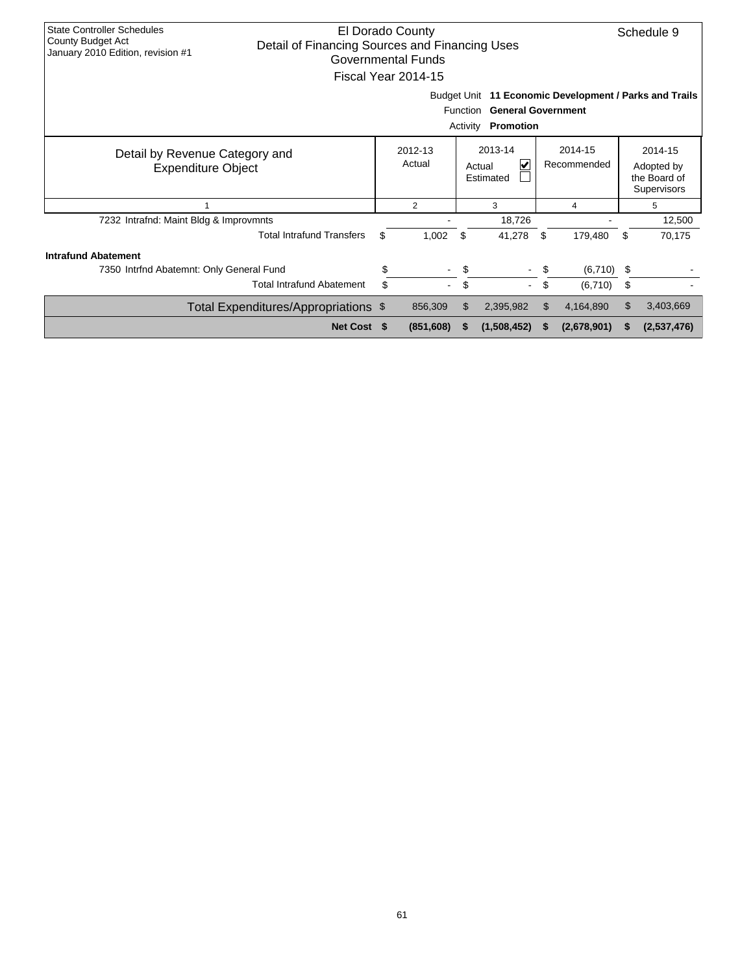| <b>State Controller Schedules</b><br>El Dorado County<br>County Budget Act<br>Detail of Financing Sources and Financing Uses<br>January 2010 Edition, revision #1<br>Governmental Funds |                                      |                                                          |                     |                        |                                                      |     |             |    |             |  |
|-----------------------------------------------------------------------------------------------------------------------------------------------------------------------------------------|--------------------------------------|----------------------------------------------------------|---------------------|------------------------|------------------------------------------------------|-----|-------------|----|-------------|--|
|                                                                                                                                                                                         |                                      |                                                          | Fiscal Year 2014-15 |                        |                                                      |     |             |    |             |  |
| 11 Economic Development / Parks and Trails<br>Budget Unit<br><b>General Government</b><br><b>Function</b><br>Promotion<br>Activity                                                      |                                      |                                                          |                     |                        |                                                      |     |             |    |             |  |
| Detail by Revenue Category and<br><b>Expenditure Object</b>                                                                                                                             |                                      | 2013-14<br>2012-13<br>Actual<br>V<br>Actual<br>Estimated |                     | 2014-15<br>Recommended | 2014-15<br>Adopted by<br>the Board of<br>Supervisors |     |             |    |             |  |
|                                                                                                                                                                                         |                                      |                                                          | $\overline{2}$      | 3<br>4                 |                                                      |     |             |    | 5           |  |
| 7232 Intrafnd: Maint Bldg & Improvmnts                                                                                                                                                  |                                      |                                                          |                     |                        | 18,726                                               |     |             |    | 12,500      |  |
|                                                                                                                                                                                         | <b>Total Intrafund Transfers</b>     | \$                                                       | 1,002               | \$                     | 41,278                                               | \$  | 179,480     | \$ | 70,175      |  |
| <b>Intrafund Abatement</b>                                                                                                                                                              |                                      |                                                          |                     |                        |                                                      |     |             |    |             |  |
| 7350 Intrfnd Abatemnt: Only General Fund                                                                                                                                                |                                      | \$                                                       | $\blacksquare$      | \$                     | $\blacksquare$                                       | \$  | (6,710)     | S. |             |  |
|                                                                                                                                                                                         | <b>Total Intrafund Abatement</b>     | \$                                                       | $\blacksquare$      | \$                     | $\mathcal{L}_{\mathcal{A}}$                          | \$  | (6,710)     | \$ |             |  |
|                                                                                                                                                                                         | Total Expenditures/Appropriations \$ |                                                          | 856,309             | \$                     | 2,395,982                                            | \$. | 4,164,890   | \$ | 3,403,669   |  |
|                                                                                                                                                                                         | Net Cost \$                          |                                                          | (851,608)           | S                      | (1,508,452)                                          | S   | (2,678,901) | S  | (2,537,476) |  |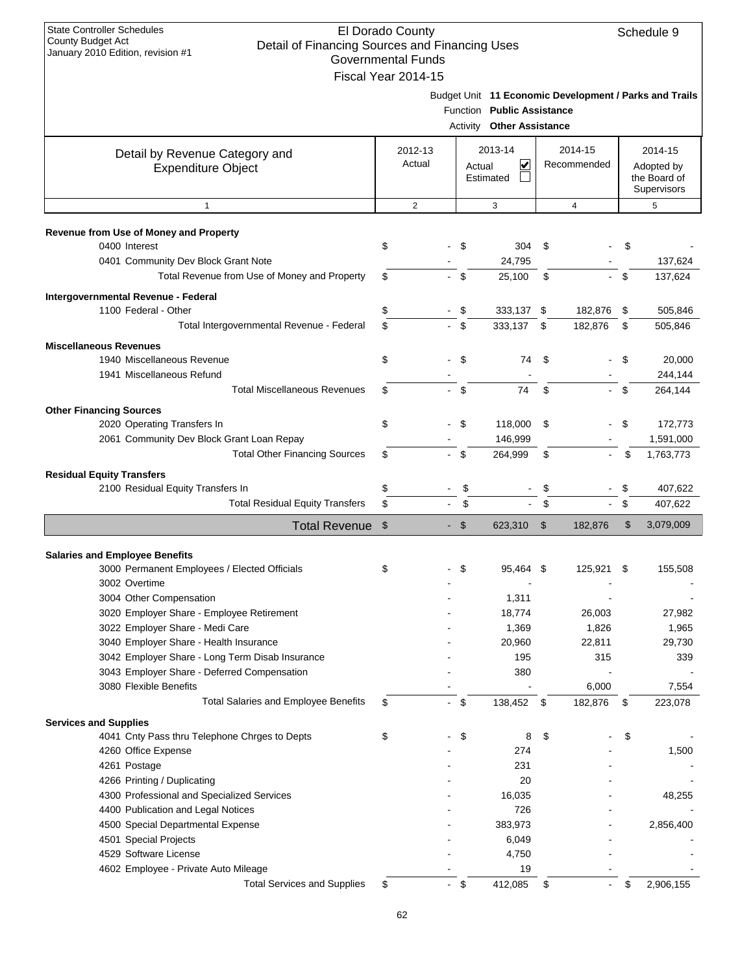| State Controller Schedules        |  |
|-----------------------------------|--|
| County Budget Act                 |  |
| January 2010 Edition, revision #1 |  |

| Governmental Funds                              |                      |                             |                                                     |               |                                                        |     |                                           |
|-------------------------------------------------|----------------------|-----------------------------|-----------------------------------------------------|---------------|--------------------------------------------------------|-----|-------------------------------------------|
| Fiscal Year 2014-15                             |                      | <b>Function</b><br>Activity | <b>Public Assistance</b><br><b>Other Assistance</b> |               | Budget Unit 11 Economic Development / Parks and Trails |     |                                           |
| Detail by Revenue Category and                  | 2012-13              |                             | 2013-14                                             |               | 2014-15                                                |     | 2014-15                                   |
| <b>Expenditure Object</b>                       | Actual               | Actual                      | $\overline{\mathbf{v}}$<br>Estimated                |               | Recommended                                            |     | Adopted by<br>the Board of<br>Supervisors |
| $\mathbf{1}$                                    | $\overline{2}$       |                             | 3                                                   |               | 4                                                      |     | 5                                         |
| Revenue from Use of Money and Property          |                      |                             |                                                     |               |                                                        |     |                                           |
| 0400 Interest                                   | \$                   | \$                          | $304$ \$                                            |               |                                                        | \$  |                                           |
| 0401 Community Dev Block Grant Note             |                      |                             | 24,795                                              |               |                                                        |     | 137,624                                   |
| Total Revenue from Use of Money and Property    | \$                   | \$                          | 25,100                                              | \$            |                                                        | \$  | 137,624                                   |
| Intergovernmental Revenue - Federal             |                      |                             |                                                     |               |                                                        |     |                                           |
| 1100 Federal - Other                            | \$                   | - \$                        | 333,137                                             | \$            | 182,876                                                | -\$ | 505,846                                   |
| Total Intergovernmental Revenue - Federal       | \$                   | $-$ \$                      | 333,137                                             | \$            | 182,876                                                | \$  | 505,846                                   |
| <b>Miscellaneous Revenues</b>                   |                      |                             |                                                     |               |                                                        |     |                                           |
| 1940 Miscellaneous Revenue                      | \$                   | \$                          | 74                                                  | \$            |                                                        | \$  | 20,000                                    |
| 1941 Miscellaneous Refund                       |                      |                             |                                                     |               |                                                        |     | 244,144                                   |
| <b>Total Miscellaneous Revenues</b>             | \$                   | \$                          | 74                                                  | \$            |                                                        | \$  | 264,144                                   |
| <b>Other Financing Sources</b>                  |                      |                             |                                                     |               |                                                        |     |                                           |
| 2020 Operating Transfers In                     | \$                   | \$                          | 118,000                                             | \$            |                                                        | \$  | 172,773                                   |
| 2061 Community Dev Block Grant Loan Repay       |                      |                             | 146,999                                             |               |                                                        |     | 1,591,000                                 |
| <b>Total Other Financing Sources</b>            | \$                   | \$                          | 264,999                                             | \$            |                                                        | \$  | 1,763,773                                 |
|                                                 |                      |                             |                                                     |               |                                                        |     |                                           |
| <b>Residual Equity Transfers</b>                |                      |                             |                                                     |               |                                                        |     |                                           |
| 2100 Residual Equity Transfers In               | \$                   | \$                          |                                                     | \$            |                                                        | \$  | 407,622                                   |
| <b>Total Residual Equity Transfers</b>          | \$                   | \$                          |                                                     | \$            | $\sim$                                                 | \$  | 407,622                                   |
| <b>Total Revenue</b>                            | \$                   | $-$ \$                      | 623,310                                             | $\frac{1}{2}$ | 182,876                                                | \$  | 3,079,009                                 |
| <b>Salaries and Employee Benefits</b>           |                      |                             |                                                     |               |                                                        |     |                                           |
| 3000 Permanent Employees / Elected Officials    | \$                   | \$                          | 95,464                                              | - \$          | 125,921                                                | \$  | 155,508                                   |
| 3002 Overtime                                   |                      |                             |                                                     |               |                                                        |     |                                           |
| 3004 Other Compensation                         |                      |                             | 1,311                                               |               |                                                        |     |                                           |
| 3020 Employer Share - Employee Retirement       |                      |                             | 18,774                                              |               | 26,003                                                 |     | 27,982                                    |
| 3022 Employer Share - Medi Care                 |                      |                             | 1,369                                               |               | 1,826                                                  |     | 1,965                                     |
| 3040 Employer Share - Health Insurance          |                      |                             | 20,960                                              |               | 22,811                                                 |     | 29,730                                    |
| 3042 Employer Share - Long Term Disab Insurance |                      |                             | 195                                                 |               | 315                                                    |     | 339                                       |
| 3043 Employer Share - Deferred Compensation     |                      |                             | 380                                                 |               |                                                        |     |                                           |
| 3080 Flexible Benefits                          |                      |                             |                                                     |               | 6,000                                                  |     | 7,554                                     |
| <b>Total Salaries and Employee Benefits</b>     | \$<br>$\blacksquare$ | \$                          | 138,452 \$                                          |               | 182,876                                                | \$  | 223,078                                   |
| <b>Services and Supplies</b>                    |                      |                             |                                                     |               |                                                        |     |                                           |
| 4041 Cnty Pass thru Telephone Chrges to Depts   | \$                   | \$                          | 8                                                   | \$            |                                                        | \$  |                                           |
| 4260 Office Expense                             |                      |                             | 274                                                 |               |                                                        |     | 1,500                                     |
| 4261 Postage                                    |                      |                             | 231                                                 |               |                                                        |     |                                           |
| 4266 Printing / Duplicating                     |                      |                             | 20                                                  |               |                                                        |     |                                           |
| 4300 Professional and Specialized Services      |                      |                             | 16,035                                              |               |                                                        |     | 48,255                                    |
| 4400 Publication and Legal Notices              |                      |                             | 726                                                 |               |                                                        |     |                                           |
| 4500 Special Departmental Expense               |                      |                             | 383,973                                             |               |                                                        |     | 2,856,400                                 |
| 4501 Special Projects                           |                      |                             | 6,049                                               |               |                                                        |     |                                           |
| 4529 Software License                           |                      |                             | 4,750                                               |               |                                                        |     |                                           |
| 4602 Employee - Private Auto Mileage            |                      |                             | 19                                                  |               |                                                        |     |                                           |
| <b>Total Services and Supplies</b>              | \$<br>- \$           |                             | 412,085                                             | \$            |                                                        | \$  | 2,906,155                                 |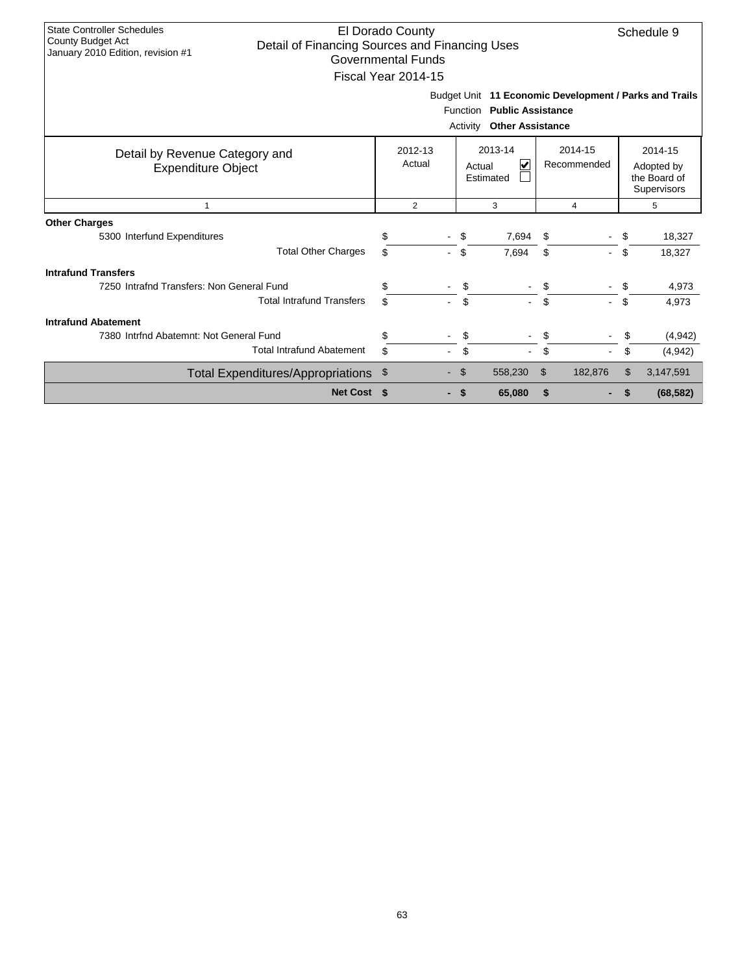| <b>State Controller Schedules</b><br>El Dorado County<br>Schedule 9<br><b>County Budget Act</b><br>Detail of Financing Sources and Financing Uses<br>January 2010 Edition, revision #1<br><b>Governmental Funds</b><br>Fiscal Year 2014-15<br>Budget Unit 11 Economic Development / Parks and Trails<br>Function Public Assistance<br><b>Other Assistance</b><br>Activity |                   |                                     |                        |                                                      |  |  |  |  |  |
|---------------------------------------------------------------------------------------------------------------------------------------------------------------------------------------------------------------------------------------------------------------------------------------------------------------------------------------------------------------------------|-------------------|-------------------------------------|------------------------|------------------------------------------------------|--|--|--|--|--|
| Detail by Revenue Category and<br><b>Expenditure Object</b>                                                                                                                                                                                                                                                                                                               | 2012-13<br>Actual | 2013-14<br>V<br>Actual<br>Estimated | 2014-15<br>Recommended | 2014-15<br>Adopted by<br>the Board of<br>Supervisors |  |  |  |  |  |
| 1                                                                                                                                                                                                                                                                                                                                                                         | $\overline{2}$    | 3                                   | 4                      | 5                                                    |  |  |  |  |  |
| <b>Other Charges</b>                                                                                                                                                                                                                                                                                                                                                      |                   |                                     |                        |                                                      |  |  |  |  |  |
| 5300 Interfund Expenditures                                                                                                                                                                                                                                                                                                                                               | \$                | 7,694<br>\$                         | \$                     | \$<br>18,327                                         |  |  |  |  |  |
| <b>Total Other Charges</b>                                                                                                                                                                                                                                                                                                                                                |                   | \$<br>7,694                         | \$                     | \$<br>18,327                                         |  |  |  |  |  |
| <b>Intrafund Transfers</b>                                                                                                                                                                                                                                                                                                                                                |                   |                                     |                        |                                                      |  |  |  |  |  |
| 7250 Intrafnd Transfers: Non General Fund                                                                                                                                                                                                                                                                                                                                 |                   | \$                                  | \$                     | 4,973<br>\$                                          |  |  |  |  |  |
| <b>Total Intrafund Transfers</b>                                                                                                                                                                                                                                                                                                                                          | \$.               | \$                                  | \$                     | \$<br>4,973                                          |  |  |  |  |  |
| <b>Intrafund Abatement</b>                                                                                                                                                                                                                                                                                                                                                |                   |                                     |                        |                                                      |  |  |  |  |  |
| 7380 Intrfnd Abatemnt: Not General Fund                                                                                                                                                                                                                                                                                                                                   |                   | \$                                  | \$                     | (4, 942)                                             |  |  |  |  |  |
| <b>Total Intrafund Abatement</b>                                                                                                                                                                                                                                                                                                                                          | \$.               | \$<br>$\overline{\phantom{0}}$      | \$                     | \$<br>(4,942)                                        |  |  |  |  |  |
| Total Expenditures/Appropriations \$                                                                                                                                                                                                                                                                                                                                      |                   | 558,230<br>\$.                      | \$<br>182,876          | \$<br>3,147,591                                      |  |  |  |  |  |
| Net Cost \$                                                                                                                                                                                                                                                                                                                                                               |                   | 65,080<br>S.                        | \$                     | (68, 582)                                            |  |  |  |  |  |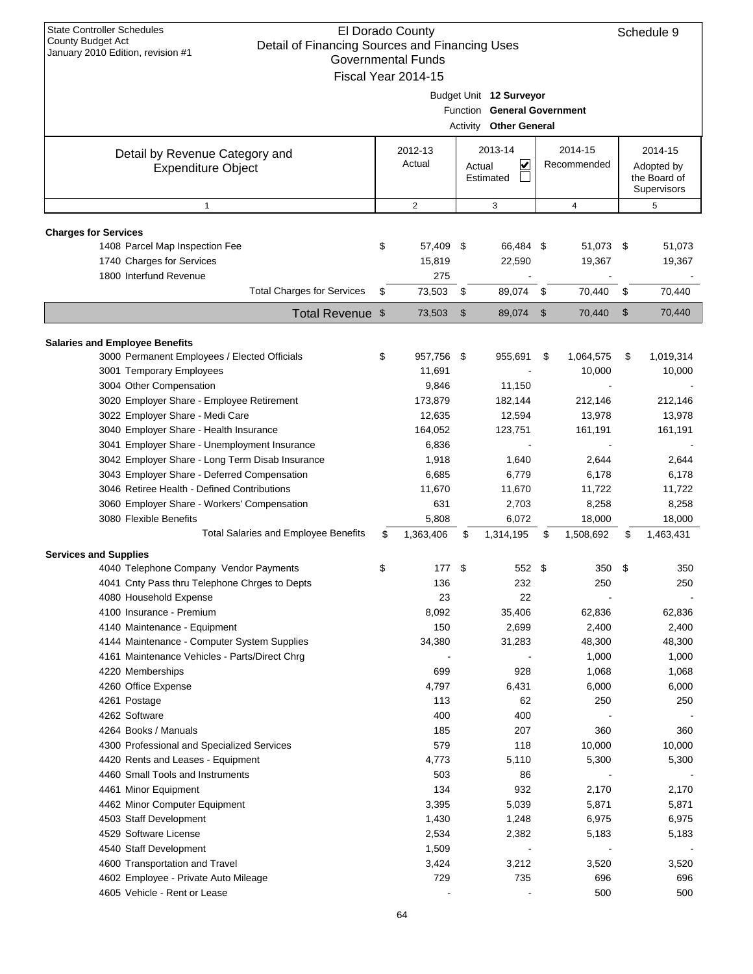| January 2010 Edition, revision #1<br><b>Governmental Funds</b><br>Fiscal Year 2014-15 |    |                |     |                                   |                           |              |    |              |  |  |
|---------------------------------------------------------------------------------------|----|----------------|-----|-----------------------------------|---------------------------|--------------|----|--------------|--|--|
|                                                                                       |    |                |     |                                   |                           |              |    |              |  |  |
|                                                                                       |    |                |     | Budget Unit 12 Surveyor           |                           |              |    |              |  |  |
|                                                                                       |    |                |     | Function General Government       |                           |              |    |              |  |  |
|                                                                                       |    |                |     | Activity Other General            |                           |              |    |              |  |  |
|                                                                                       |    | 2012-13        |     | 2013-14                           |                           | 2014-15      |    | 2014-15      |  |  |
| Detail by Revenue Category and                                                        |    | Actual         |     | $\overline{\mathbf{v}}$<br>Actual |                           | Recommended  |    | Adopted by   |  |  |
| <b>Expenditure Object</b>                                                             |    |                |     | Estimated                         |                           |              |    | the Board of |  |  |
|                                                                                       |    |                |     |                                   |                           |              |    | Supervisors  |  |  |
| $\mathbf{1}$                                                                          |    | $\overline{2}$ |     | 3                                 |                           | 4            |    | 5            |  |  |
| <b>Charges for Services</b>                                                           |    |                |     |                                   |                           |              |    |              |  |  |
| 1408 Parcel Map Inspection Fee                                                        | \$ | 57,409         | -\$ | 66,484 \$                         |                           | 51,073 \$    |    | 51,073       |  |  |
| 1740 Charges for Services                                                             |    | 15,819         |     | 22,590                            |                           | 19,367       |    | 19,367       |  |  |
| 1800 Interfund Revenue                                                                |    | 275            |     |                                   |                           |              |    |              |  |  |
| <b>Total Charges for Services</b>                                                     | \$ | 73,503         | \$  | 89,074                            | - \$                      | 70,440       | \$ | 70,440       |  |  |
| Total Revenue \$                                                                      |    | 73,503         | \$  | 89,074                            | $\boldsymbol{\mathsf{S}}$ | 70,440       | \$ | 70,440       |  |  |
| <b>Salaries and Employee Benefits</b>                                                 |    |                |     |                                   |                           |              |    |              |  |  |
| 3000 Permanent Employees / Elected Officials                                          | \$ | 957,756 \$     |     | 955,691                           | \$                        | 1,064,575    | \$ | 1,019,314    |  |  |
| 3001 Temporary Employees                                                              |    | 11,691         |     |                                   |                           | 10,000       |    | 10,000       |  |  |
| 3004 Other Compensation                                                               |    | 9,846          |     | 11,150                            |                           |              |    |              |  |  |
| 3020 Employer Share - Employee Retirement                                             |    | 173,879        |     | 182,144                           |                           | 212,146      |    | 212,146      |  |  |
| 3022 Employer Share - Medi Care                                                       |    | 12,635         |     | 12,594                            |                           | 13,978       |    | 13,978       |  |  |
| 3040 Employer Share - Health Insurance                                                |    | 164,052        |     | 123,751                           |                           | 161,191      |    | 161,191      |  |  |
| 3041 Employer Share - Unemployment Insurance                                          |    | 6,836          |     |                                   |                           |              |    |              |  |  |
| 3042 Employer Share - Long Term Disab Insurance                                       |    | 1,918          |     | 1,640                             |                           | 2,644        |    | 2,644        |  |  |
| 3043 Employer Share - Deferred Compensation                                           |    | 6,685          |     | 6,779                             |                           | 6,178        |    | 6,178        |  |  |
| 3046 Retiree Health - Defined Contributions                                           |    | 11,670         |     | 11,670                            |                           | 11,722       |    | 11,722       |  |  |
| 3060 Employer Share - Workers' Compensation                                           |    | 631            |     | 2,703                             |                           | 8,258        |    | 8,258        |  |  |
| 3080 Flexible Benefits                                                                |    | 5,808          |     | 6,072                             |                           | 18,000       |    | 18,000       |  |  |
| <b>Total Salaries and Employee Benefits</b>                                           | \$ | 1,363,406      | \$  | 1,314,195                         | \$                        | 1,508,692    | \$ | 1,463,431    |  |  |
| <b>Services and Supplies</b>                                                          |    |                |     |                                   |                           |              |    |              |  |  |
| 4040 Telephone Company Vendor Payments                                                | \$ | 177            | \$  | 552 \$                            |                           | 350          | \$ | 350          |  |  |
| 4041 Cnty Pass thru Telephone Chrges to Depts                                         |    | 136            |     | 232                               |                           | 250          |    | 250          |  |  |
| 4080 Household Expense                                                                |    | 23             |     | 22                                |                           |              |    |              |  |  |
| 4100 Insurance - Premium                                                              |    | 8,092          |     | 35,406                            |                           | 62,836       |    | 62,836       |  |  |
| 4140 Maintenance - Equipment                                                          |    | 150            |     | 2,699                             |                           | 2,400        |    | 2,400        |  |  |
| 4144 Maintenance - Computer System Supplies                                           |    | 34,380         |     | 31,283                            |                           | 48,300       |    | 48,300       |  |  |
| 4161 Maintenance Vehicles - Parts/Direct Chrg                                         |    |                |     |                                   |                           | 1,000        |    | 1,000        |  |  |
| 4220 Memberships                                                                      |    | 699            |     | 928                               |                           | 1,068        |    | 1,068        |  |  |
| 4260 Office Expense                                                                   |    | 4,797          |     | 6,431                             |                           | 6,000        |    | 6,000        |  |  |
| 4261 Postage                                                                          |    | 113            |     | 62                                |                           | 250          |    | 250          |  |  |
| 4262 Software                                                                         |    | 400            |     | 400                               |                           |              |    |              |  |  |
| 4264 Books / Manuals                                                                  |    | 185            |     | 207                               |                           | 360          |    | 360          |  |  |
| 4300 Professional and Specialized Services                                            |    | 579            |     | 118                               |                           | 10,000       |    | 10,000       |  |  |
| 4420 Rents and Leases - Equipment                                                     |    | 4,773          |     | 5,110                             |                           | 5,300        |    | 5,300        |  |  |
| 4460 Small Tools and Instruments                                                      |    | 503            |     | 86                                |                           |              |    |              |  |  |
| 4461 Minor Equipment                                                                  |    | 134            |     | 932                               |                           | 2,170        |    | 2,170        |  |  |
| 4462 Minor Computer Equipment                                                         |    | 3,395          |     | 5,039                             |                           | 5,871        |    | 5,871        |  |  |
| 4503 Staff Development                                                                |    | 1,430          |     | 1,248                             |                           | 6,975        |    | 6,975        |  |  |
| 4529 Software License                                                                 |    | 2,534          |     | 2,382                             |                           | 5,183        |    | 5,183        |  |  |
| 4540 Staff Development                                                                |    | 1,509          |     |                                   |                           |              |    |              |  |  |
| 4600 Transportation and Travel<br>4602 Employee - Private Auto Mileage                |    | 3,424<br>729   |     | 3,212<br>735                      |                           | 3,520<br>696 |    | 3,520<br>696 |  |  |
| 4605 Vehicle - Rent or Lease                                                          |    |                |     |                                   |                           | 500          |    | 500          |  |  |
|                                                                                       |    |                |     |                                   |                           |              |    |              |  |  |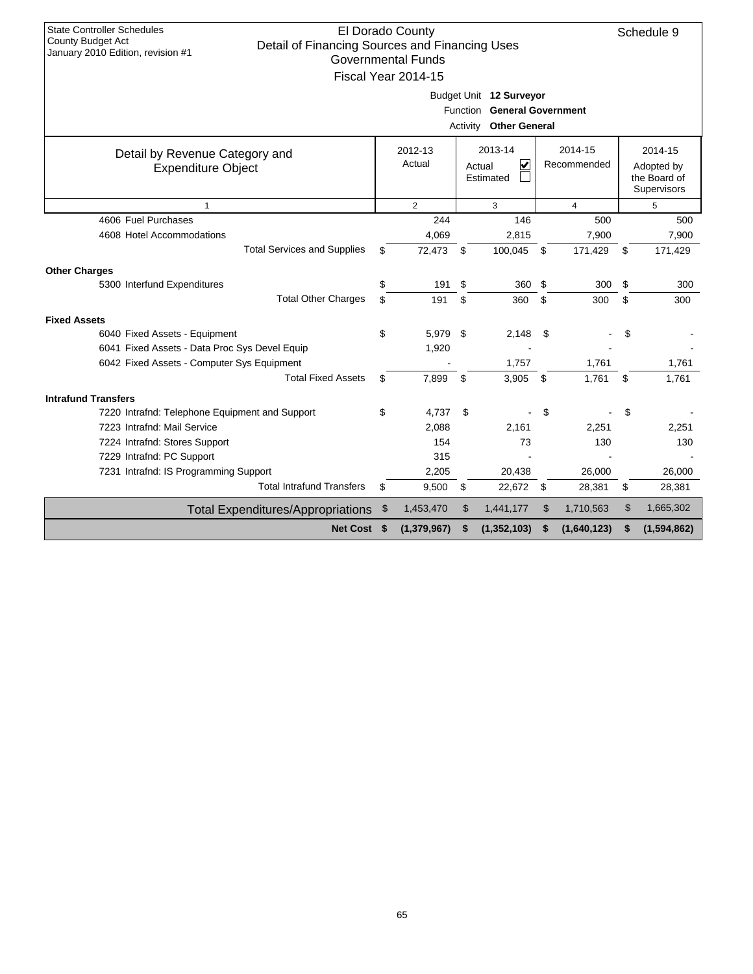| <b>State Controller Schedules</b>                                                   |     |                           |           |                               |    |             |              |                |  |     |  |     |
|-------------------------------------------------------------------------------------|-----|---------------------------|-----------|-------------------------------|----|-------------|--------------|----------------|--|-----|--|-----|
| <b>County Budget Act</b>                                                            |     | El Dorado County          |           |                               |    |             |              | Schedule 9     |  |     |  |     |
| Detail of Financing Sources and Financing Uses<br>January 2010 Edition, revision #1 |     | <b>Governmental Funds</b> |           |                               |    |             |              |                |  |     |  |     |
|                                                                                     |     |                           |           |                               |    |             |              |                |  |     |  |     |
|                                                                                     |     | Fiscal Year 2014-15       |           |                               |    |             |              |                |  |     |  |     |
|                                                                                     |     |                           |           | Budget Unit 12 Surveyor       |    |             |              |                |  |     |  |     |
|                                                                                     |     |                           |           | Function General Government   |    |             |              |                |  |     |  |     |
|                                                                                     |     |                           |           | <b>Activity Other General</b> |    |             |              |                |  |     |  |     |
| Detail by Revenue Category and                                                      |     | 2012-13                   |           | 2013-14                       |    | 2014-15     |              | 2014-15        |  |     |  |     |
| <b>Expenditure Object</b>                                                           |     | Actual                    |           | $\vert \checkmark$<br>Actual  |    | Recommended |              | Adopted by     |  |     |  |     |
|                                                                                     |     |                           | Estimated |                               |    |             | the Board of |                |  |     |  |     |
|                                                                                     |     |                           |           |                               |    |             |              | Supervisors    |  |     |  |     |
| $\mathbf{1}$                                                                        |     | $\overline{2}$            |           | 3                             |    |             |              | $\overline{4}$ |  | 5   |  |     |
| 4606 Fuel Purchases                                                                 |     | 244                       |           | 146                           |    |             |              |                |  | 500 |  | 500 |
| 4608 Hotel Accommodations                                                           |     | 4,069                     |           | 2,815                         |    | 7,900       |              | 7,900          |  |     |  |     |
| <b>Total Services and Supplies</b>                                                  | \$  | 72,473                    | \$        | 100,045                       | \$ | 171,429     | \$           | 171,429        |  |     |  |     |
| <b>Other Charges</b>                                                                |     |                           |           |                               |    |             |              |                |  |     |  |     |
| 5300 Interfund Expenditures                                                         | \$  | 191                       | \$        | 360                           | \$ | 300         | \$           | 300            |  |     |  |     |
| <b>Total Other Charges</b>                                                          | \$  | 191                       | \$        | 360                           | \$ | 300         | \$           | 300            |  |     |  |     |
| <b>Fixed Assets</b>                                                                 |     |                           |           |                               |    |             |              |                |  |     |  |     |
| 6040 Fixed Assets - Equipment                                                       | \$  | 5.979 \$                  |           | 2,148                         | \$ |             | \$           |                |  |     |  |     |
| 6041 Fixed Assets - Data Proc Sys Devel Equip                                       |     | 1,920                     |           |                               |    |             |              |                |  |     |  |     |
| 6042 Fixed Assets - Computer Sys Equipment                                          |     |                           |           | 1,757                         |    | 1,761       |              | 1,761          |  |     |  |     |
| <b>Total Fixed Assets</b>                                                           | \$  | 7,899                     | \$        | 3,905                         | \$ | 1,761       | \$           | 1,761          |  |     |  |     |
| <b>Intrafund Transfers</b>                                                          |     |                           |           |                               |    |             |              |                |  |     |  |     |
| 7220 Intrafnd: Telephone Equipment and Support                                      | \$  | 4,737                     | \$        |                               | \$ |             | \$           |                |  |     |  |     |
| 7223 Intrafnd: Mail Service                                                         |     | 2,088                     |           | 2,161                         |    | 2,251       |              | 2,251          |  |     |  |     |
| 7224 Intrafnd: Stores Support                                                       |     | 154                       |           | 73                            |    | 130         |              | 130            |  |     |  |     |
| 7229 Intrafnd: PC Support                                                           |     | 315                       |           |                               |    |             |              |                |  |     |  |     |
| 7231 Intrafnd: IS Programming Support                                               |     | 2,205                     |           | 20,438                        |    | 26,000      |              | 26,000         |  |     |  |     |
| <b>Total Intrafund Transfers</b>                                                    | \$  | 9,500                     | \$        | 22,672                        | \$ | 28,381      | \$           | 28,381         |  |     |  |     |
| <b>Total Expenditures/Appropriations</b>                                            | \$  | 1,453,470                 | \$        | 1,441,177                     | \$ | 1,710,563   | \$           | 1,665,302      |  |     |  |     |
| <b>Net Cost</b>                                                                     | -\$ | (1, 379, 967)             | \$        | (1, 352, 103)                 | \$ | (1,640,123) | \$           | (1,594,862)    |  |     |  |     |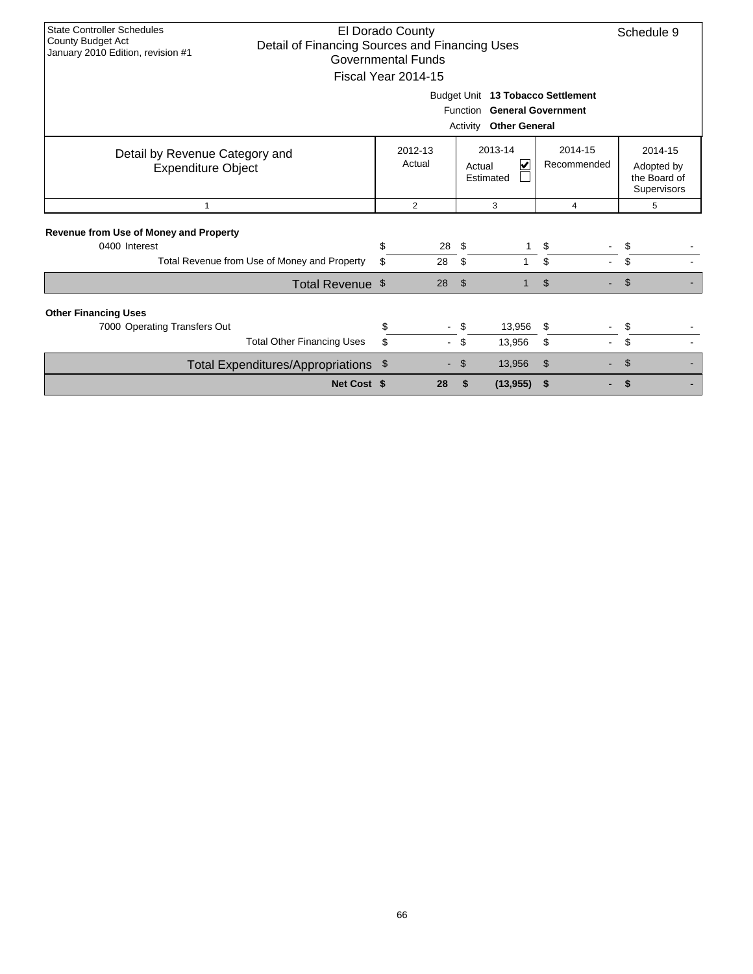| <b>State Controller Schedules</b><br>El Dorado County<br>County Budget Act<br>Detail of Financing Sources and Financing Uses<br>January 2010 Edition, revision #1<br><b>Governmental Funds</b><br>Fiscal Year 2014-15<br>Budget Unit 13 Tobacco Settlement<br>Function General Government<br>Activity<br><b>Other General</b> |          |                                                                                    |                               |                |                                                      |  |  |
|-------------------------------------------------------------------------------------------------------------------------------------------------------------------------------------------------------------------------------------------------------------------------------------------------------------------------------|----------|------------------------------------------------------------------------------------|-------------------------------|----------------|------------------------------------------------------|--|--|
| Detail by Revenue Category and<br><b>Expenditure Object</b>                                                                                                                                                                                                                                                                   |          | 2013-14<br>2014-15<br>2012-13<br>Actual<br>Recommended<br>V<br>Actual<br>Estimated |                               |                | 2014-15<br>Adopted by<br>the Board of<br>Supervisors |  |  |
| $\mathbf{1}$                                                                                                                                                                                                                                                                                                                  |          | $\overline{2}$                                                                     | 3                             | $\overline{4}$ | 5                                                    |  |  |
| <b>Revenue from Use of Money and Property</b><br>0400 Interest                                                                                                                                                                                                                                                                | \$       | 28                                                                                 | - \$                          | \$             | \$                                                   |  |  |
| Total Revenue from Use of Money and Property                                                                                                                                                                                                                                                                                  | \$       | 28                                                                                 | \$                            | \$             | \$                                                   |  |  |
| Total Revenue \$                                                                                                                                                                                                                                                                                                              |          | 28                                                                                 | $\mathfrak{F}$<br>1           | $\mathfrak{L}$ | $\mathfrak{S}$                                       |  |  |
| <b>Other Financing Uses</b><br>7000 Operating Transfers Out<br><b>Total Other Financing Uses</b>                                                                                                                                                                                                                              | \$<br>\$ |                                                                                    | \$<br>13,956<br>13,956<br>\$. | \$<br>\$       | \$<br>\$                                             |  |  |
| Total Expenditures/Appropriations \$                                                                                                                                                                                                                                                                                          |          |                                                                                    | 13,956<br>\$                  | \$             | S                                                    |  |  |
| Net Cost \$                                                                                                                                                                                                                                                                                                                   |          | 28                                                                                 | \$<br>(13, 955)               | \$             | S                                                    |  |  |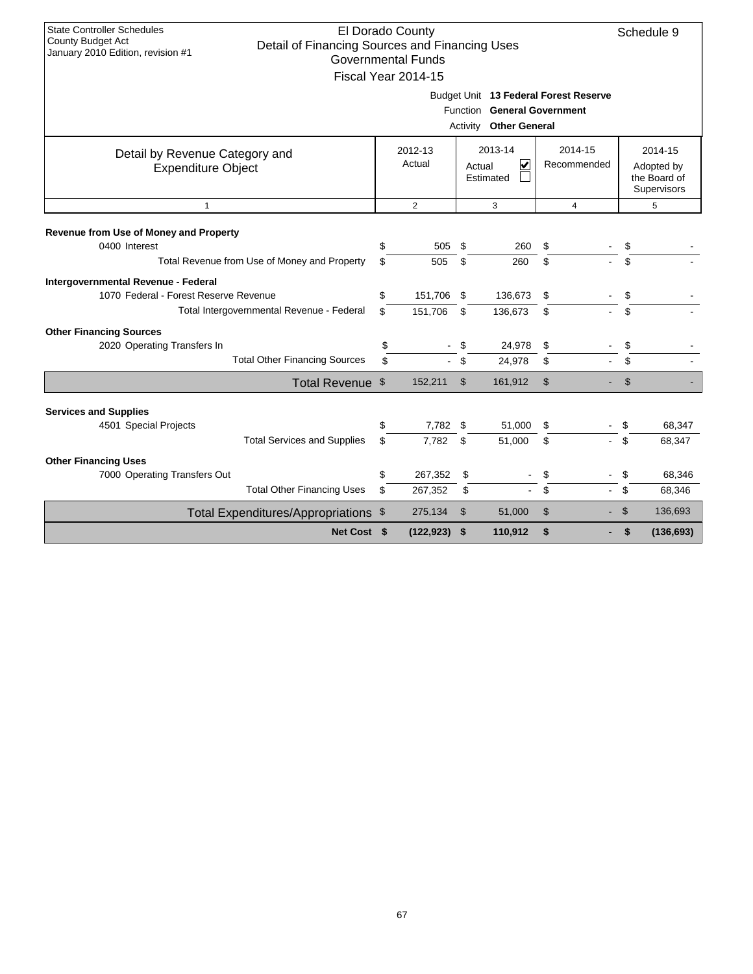| Budget Unit 13 Federal Forest Reserve<br>Function General Government<br>Activity Other General                                                                                                            |            |  |  |  |  |  |  |  |  |  |
|-----------------------------------------------------------------------------------------------------------------------------------------------------------------------------------------------------------|------------|--|--|--|--|--|--|--|--|--|
|                                                                                                                                                                                                           |            |  |  |  |  |  |  |  |  |  |
| 2013-14<br>2014-15<br>2012-13<br>2014-15<br>Detail by Revenue Category and<br>Actual<br>V<br>Recommended<br>Actual<br><b>Expenditure Object</b><br>Adopted by<br>the Board of<br>Estimated<br>Supervisors |            |  |  |  |  |  |  |  |  |  |
| 2<br>$\mathbf{1}$<br>3<br>$\overline{4}$<br>5                                                                                                                                                             |            |  |  |  |  |  |  |  |  |  |
| Revenue from Use of Money and Property                                                                                                                                                                    |            |  |  |  |  |  |  |  |  |  |
| 0400 Interest<br>\$<br>505<br>\$<br>260<br>\$<br>\$                                                                                                                                                       |            |  |  |  |  |  |  |  |  |  |
| \$<br>Total Revenue from Use of Money and Property<br>\$<br>\$<br>\$<br>505<br>260                                                                                                                        |            |  |  |  |  |  |  |  |  |  |
| Intergovernmental Revenue - Federal                                                                                                                                                                       |            |  |  |  |  |  |  |  |  |  |
| \$<br>151,706 \$<br>1070 Federal - Forest Reserve Revenue<br>136,673<br>\$<br>\$                                                                                                                          |            |  |  |  |  |  |  |  |  |  |
| \$<br>Total Intergovernmental Revenue - Federal<br>151,706<br>\$<br>136,673<br>\$<br>\$                                                                                                                   |            |  |  |  |  |  |  |  |  |  |
| <b>Other Financing Sources</b>                                                                                                                                                                            |            |  |  |  |  |  |  |  |  |  |
| \$<br>\$<br>2020 Operating Transfers In<br>24,978<br>\$<br>\$                                                                                                                                             |            |  |  |  |  |  |  |  |  |  |
| <b>Total Other Financing Sources</b><br>\$<br>\$<br>\$<br>24,978<br>\$                                                                                                                                    |            |  |  |  |  |  |  |  |  |  |
| \$<br>$\mathfrak{S}$<br>Total Revenue \$<br>152,211<br>$\mathfrak{S}$<br>161,912                                                                                                                          |            |  |  |  |  |  |  |  |  |  |
|                                                                                                                                                                                                           |            |  |  |  |  |  |  |  |  |  |
| <b>Services and Supplies</b><br>7,782 \$<br>51,000                                                                                                                                                        | 68,347     |  |  |  |  |  |  |  |  |  |
| 4501 Special Projects<br>\$<br>\$<br>\$<br><b>Total Services and Supplies</b><br>7.782<br>\$<br>\$<br>\$<br>\$<br>51,000                                                                                  | 68,347     |  |  |  |  |  |  |  |  |  |
|                                                                                                                                                                                                           |            |  |  |  |  |  |  |  |  |  |
| <b>Other Financing Uses</b><br>7000 Operating Transfers Out<br>\$<br>267,352<br>\$<br>\$<br>\$                                                                                                            | 68,346     |  |  |  |  |  |  |  |  |  |
| <b>Total Other Financing Uses</b><br>\$<br>\$<br>\$<br>\$<br>267,352<br>$\blacksquare$                                                                                                                    | 68,346     |  |  |  |  |  |  |  |  |  |
| $\mathfrak{S}$<br>\$<br>$\mathfrak{S}$<br>275,134<br>51,000<br>Total Expenditures/Appropriations \$                                                                                                       | 136,693    |  |  |  |  |  |  |  |  |  |
| \$<br>Net Cost \$<br>$(122, 923)$ \$<br>110,912<br>\$                                                                                                                                                     | (136, 693) |  |  |  |  |  |  |  |  |  |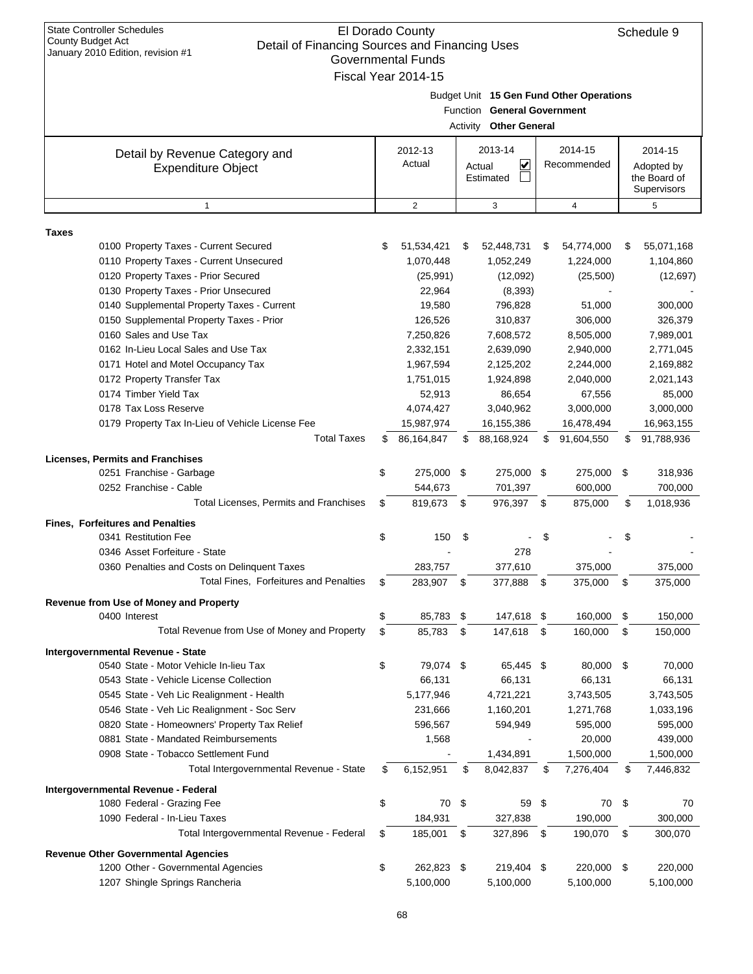| <b>State Controller Schedules</b><br>El Dorado County<br><b>County Budget Act</b><br>Detail of Financing Sources and Financing Uses<br>January 2010 Edition, revision #1<br><b>Governmental Funds</b><br>Fiscal Year 2014-15 |    |                   |    |                                                       |    |                                          | Schedule 9                                           |
|------------------------------------------------------------------------------------------------------------------------------------------------------------------------------------------------------------------------------|----|-------------------|----|-------------------------------------------------------|----|------------------------------------------|------------------------------------------------------|
|                                                                                                                                                                                                                              |    |                   |    | Function General Government<br>Activity Other General |    | Budget Unit 15 Gen Fund Other Operations |                                                      |
| Detail by Revenue Category and<br><b>Expenditure Object</b>                                                                                                                                                                  |    | 2012-13<br>Actual |    | 2013-14<br>V<br>Actual<br>Estimated                   |    | 2014-15<br>Recommended                   | 2014-15<br>Adopted by<br>the Board of<br>Supervisors |
| $\mathbf{1}$                                                                                                                                                                                                                 |    | 2                 |    | 3                                                     |    | 4                                        | 5                                                    |
|                                                                                                                                                                                                                              |    |                   |    |                                                       |    |                                          |                                                      |
| <b>Taxes</b><br>0100 Property Taxes - Current Secured                                                                                                                                                                        | \$ | 51,534,421        | S  | 52,448,731                                            | \$ | 54,774,000                               | \$<br>55,071,168                                     |
| 0110 Property Taxes - Current Unsecured                                                                                                                                                                                      |    | 1,070,448         |    | 1,052,249                                             |    | 1,224,000                                | 1,104,860                                            |
| 0120 Property Taxes - Prior Secured                                                                                                                                                                                          |    | (25, 991)         |    | (12,092)                                              |    | (25,500)                                 | (12,697)                                             |
| 0130 Property Taxes - Prior Unsecured                                                                                                                                                                                        |    | 22,964            |    | (8, 393)                                              |    |                                          |                                                      |
| 0140 Supplemental Property Taxes - Current                                                                                                                                                                                   |    | 19,580            |    | 796,828                                               |    | 51,000                                   | 300,000                                              |
| 0150 Supplemental Property Taxes - Prior                                                                                                                                                                                     |    | 126,526           |    | 310,837                                               |    | 306,000                                  | 326,379                                              |
| 0160 Sales and Use Tax                                                                                                                                                                                                       |    | 7,250,826         |    | 7,608,572                                             |    | 8,505,000                                | 7,989,001                                            |
| 0162 In-Lieu Local Sales and Use Tax                                                                                                                                                                                         |    | 2,332,151         |    | 2,639,090                                             |    | 2,940,000                                | 2,771,045                                            |
| 0171 Hotel and Motel Occupancy Tax                                                                                                                                                                                           |    | 1,967,594         |    | 2,125,202                                             |    | 2,244,000                                | 2,169,882                                            |
| 0172 Property Transfer Tax                                                                                                                                                                                                   |    | 1,751,015         |    | 1,924,898                                             |    | 2,040,000                                | 2,021,143                                            |
| 0174 Timber Yield Tax                                                                                                                                                                                                        |    | 52,913            |    | 86,654                                                |    | 67,556                                   | 85,000                                               |
| 0178 Tax Loss Reserve                                                                                                                                                                                                        |    | 4,074,427         |    | 3,040,962                                             |    | 3,000,000                                | 3,000,000                                            |
| 0179 Property Tax In-Lieu of Vehicle License Fee                                                                                                                                                                             |    | 15,987,974        |    | 16,155,386                                            |    | 16,478,494                               | 16,963,155                                           |
| <b>Total Taxes</b>                                                                                                                                                                                                           | \$ | 86,164,847        |    | 88,168,924                                            | S  | 91,604,550                               | \$<br>91,788,936                                     |
| <b>Licenses, Permits and Franchises</b>                                                                                                                                                                                      |    |                   |    |                                                       |    |                                          |                                                      |
| 0251 Franchise - Garbage                                                                                                                                                                                                     | \$ | 275,000 \$        |    | 275,000 \$                                            |    | 275,000                                  | \$<br>318,936                                        |
| 0252 Franchise - Cable                                                                                                                                                                                                       |    | 544,673           |    | 701,397                                               |    | 600,000                                  | 700,000                                              |
| Total Licenses, Permits and Franchises                                                                                                                                                                                       | S  | 819,673           | \$ | 976,397                                               | \$ | 875,000                                  | \$<br>1,018,936                                      |
| <b>Fines, Forfeitures and Penalties</b>                                                                                                                                                                                      |    |                   |    |                                                       |    |                                          |                                                      |
| 0341 Restitution Fee                                                                                                                                                                                                         | \$ | 150               | \$ |                                                       | \$ |                                          |                                                      |
| 0346 Asset Forfeiture - State                                                                                                                                                                                                |    |                   |    | 278                                                   |    |                                          |                                                      |
| 0360 Penalties and Costs on Delinquent Taxes                                                                                                                                                                                 |    | 283,757           |    | 377,610                                               |    | 375,000                                  | 375,000                                              |
| Total Fines, Forfeitures and Penalties                                                                                                                                                                                       | \$ | 283,907           | \$ | 377,888                                               | \$ | 375,000                                  | \$<br>375,000                                        |
|                                                                                                                                                                                                                              |    |                   |    |                                                       |    |                                          |                                                      |
| Revenue from Use of Money and Property                                                                                                                                                                                       |    |                   |    |                                                       |    |                                          |                                                      |
| 0400 Interest                                                                                                                                                                                                                | \$ | 85,783 \$         |    | 147,618 \$                                            |    | 160,000                                  | \$<br>150,000                                        |
| Total Revenue from Use of Money and Property                                                                                                                                                                                 | \$ | 85,783            | \$ | 147,618                                               | \$ | 160,000                                  | \$<br>150,000                                        |
| Intergovernmental Revenue - State                                                                                                                                                                                            |    |                   |    |                                                       |    |                                          |                                                      |
| 0540 State - Motor Vehicle In-lieu Tax                                                                                                                                                                                       | \$ | 79,074 \$         |    | 65,445 \$                                             |    | 80,000                                   | \$<br>70,000                                         |
| 0543 State - Vehicle License Collection                                                                                                                                                                                      |    | 66,131            |    | 66,131                                                |    | 66,131                                   | 66,131                                               |
| 0545 State - Veh Lic Realignment - Health                                                                                                                                                                                    |    | 5,177,946         |    | 4,721,221                                             |    | 3,743,505                                | 3,743,505                                            |
| 0546 State - Veh Lic Realignment - Soc Serv                                                                                                                                                                                  |    | 231,666           |    | 1,160,201                                             |    | 1,271,768                                | 1,033,196                                            |
| 0820 State - Homeowners' Property Tax Relief                                                                                                                                                                                 |    | 596,567           |    | 594,949                                               |    | 595,000                                  | 595,000                                              |
| 0881 State - Mandated Reimbursements                                                                                                                                                                                         |    | 1,568             |    |                                                       |    | 20,000                                   | 439,000                                              |
| 0908 State - Tobacco Settlement Fund                                                                                                                                                                                         |    |                   |    | 1,434,891                                             |    | 1,500,000                                | 1,500,000                                            |
| Total Intergovernmental Revenue - State                                                                                                                                                                                      | \$ | 6,152,951         | \$ | 8,042,837                                             | S  | 7,276,404                                | \$<br>7,446,832                                      |
| Intergovernmental Revenue - Federal                                                                                                                                                                                          |    |                   |    |                                                       |    |                                          |                                                      |
| 1080 Federal - Grazing Fee                                                                                                                                                                                                   | \$ | 70 \$             |    | 59 \$                                                 |    | 70                                       | \$<br>70                                             |
| 1090 Federal - In-Lieu Taxes                                                                                                                                                                                                 |    | 184,931           |    | 327,838                                               |    | 190,000                                  | 300,000                                              |
| Total Intergovernmental Revenue - Federal                                                                                                                                                                                    | S  | 185,001           | \$ | 327,896                                               | \$ | 190,070                                  | \$<br>300,070                                        |
| <b>Revenue Other Governmental Agencies</b>                                                                                                                                                                                   |    |                   |    |                                                       |    |                                          |                                                      |
| 1200 Other - Governmental Agencies                                                                                                                                                                                           | \$ | 262,823 \$        |    | 219,404 \$                                            |    | 220,000                                  | \$<br>220,000                                        |
| 1207 Shingle Springs Rancheria                                                                                                                                                                                               |    | 5,100,000         |    | 5,100,000                                             |    | 5,100,000                                | 5,100,000                                            |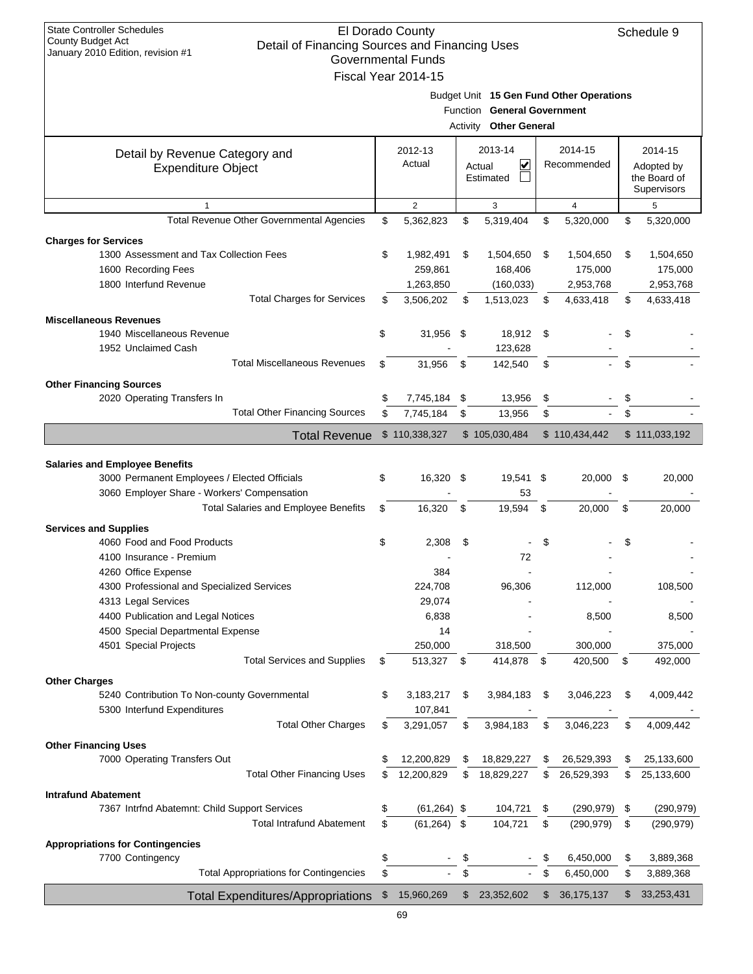| <b>State Controller Schedules</b><br>El Dorado County<br>Schedule 9<br>County Budget Act<br>Detail of Financing Sources and Financing Uses<br>January 2010 Edition, revision #1<br><b>Governmental Funds</b><br>Fiscal Year 2014-15 |                                               |          |                        |          |                                                       |          |                                          |          |                                                      |
|-------------------------------------------------------------------------------------------------------------------------------------------------------------------------------------------------------------------------------------|-----------------------------------------------|----------|------------------------|----------|-------------------------------------------------------|----------|------------------------------------------|----------|------------------------------------------------------|
|                                                                                                                                                                                                                                     |                                               |          |                        |          | Function General Government<br>Activity Other General |          | Budget Unit 15 Gen Fund Other Operations |          |                                                      |
| Detail by Revenue Category and<br><b>Expenditure Object</b>                                                                                                                                                                         |                                               |          | 2012-13<br>Actual      |          | 2013-14<br>$\vert \checkmark$<br>Actual<br>Estimated  |          | 2014-15<br>Recommended                   |          | 2014-15<br>Adopted by<br>the Board of<br>Supervisors |
| $\mathbf{1}$                                                                                                                                                                                                                        |                                               |          | $\overline{2}$         |          | 3                                                     |          | 4                                        |          | 5                                                    |
| <b>Charges for Services</b>                                                                                                                                                                                                         | Total Revenue Other Governmental Agencies     | \$       | 5,362,823              | \$       | 5,319,404                                             | \$       | 5,320,000                                | \$       | 5,320,000                                            |
| 1300 Assessment and Tax Collection Fees                                                                                                                                                                                             |                                               | \$       | 1,982,491              | \$       | 1,504,650                                             | \$       | 1,504,650                                | \$       | 1,504,650                                            |
| 1600 Recording Fees                                                                                                                                                                                                                 |                                               |          | 259,861                |          | 168,406                                               |          | 175,000                                  |          | 175,000                                              |
| 1800 Interfund Revenue                                                                                                                                                                                                              |                                               |          | 1,263,850              |          | (160, 033)                                            |          | 2,953,768                                |          | 2,953,768                                            |
|                                                                                                                                                                                                                                     | <b>Total Charges for Services</b>             | \$       | 3,506,202              | \$       | 1,513,023                                             | \$       | 4,633,418                                | \$       | 4,633,418                                            |
| <b>Miscellaneous Revenues</b>                                                                                                                                                                                                       |                                               |          |                        |          |                                                       |          |                                          |          |                                                      |
| 1940 Miscellaneous Revenue                                                                                                                                                                                                          |                                               | \$       | 31,956 \$              |          | 18,912                                                | -\$      |                                          | \$       |                                                      |
| 1952 Unclaimed Cash                                                                                                                                                                                                                 | <b>Total Miscellaneous Revenues</b>           | \$       | 31,956                 | \$       | 123,628<br>142,540                                    | \$       |                                          | \$       |                                                      |
|                                                                                                                                                                                                                                     |                                               |          |                        |          |                                                       |          |                                          |          |                                                      |
| <b>Other Financing Sources</b><br>2020 Operating Transfers In                                                                                                                                                                       |                                               | \$       |                        | \$       |                                                       | \$       |                                          | \$       |                                                      |
|                                                                                                                                                                                                                                     | <b>Total Other Financing Sources</b>          | \$       | 7,745,184<br>7,745,184 | \$       | 13,956<br>13,956                                      | \$       |                                          | \$       |                                                      |
|                                                                                                                                                                                                                                     |                                               |          |                        |          |                                                       |          |                                          |          |                                                      |
|                                                                                                                                                                                                                                     | <b>Total Revenue</b>                          |          | \$110,338,327          |          | \$105,030,484                                         |          | \$110,434,442                            |          | \$111,033,192                                        |
| <b>Salaries and Employee Benefits</b>                                                                                                                                                                                               |                                               |          |                        |          |                                                       |          |                                          |          |                                                      |
| 3000 Permanent Employees / Elected Officials                                                                                                                                                                                        |                                               | \$       | 16,320                 | - \$     | 19,541 \$                                             |          | 20,000                                   | -\$      | 20,000                                               |
| 3060 Employer Share - Workers' Compensation                                                                                                                                                                                         |                                               |          |                        |          | 53                                                    |          |                                          |          |                                                      |
|                                                                                                                                                                                                                                     | <b>Total Salaries and Employee Benefits</b>   | \$       | 16.320                 | \$       | 19,594                                                | \$       | 20,000                                   | \$       | 20,000                                               |
| <b>Services and Supplies</b>                                                                                                                                                                                                        |                                               |          |                        |          |                                                       |          |                                          |          |                                                      |
| 4060 Food and Food Products                                                                                                                                                                                                         |                                               | \$       | 2,308                  | \$       |                                                       | \$       |                                          | \$       |                                                      |
| 4100 Insurance - Premium                                                                                                                                                                                                            |                                               |          |                        |          | 72                                                    |          |                                          |          |                                                      |
| 4260 Office Expense                                                                                                                                                                                                                 |                                               |          | 384                    |          |                                                       |          |                                          |          |                                                      |
| 4300 Professional and Specialized Services                                                                                                                                                                                          |                                               |          | 224,708                |          | 96,306                                                |          | 112,000                                  |          | 108,500                                              |
| 4313 Legal Services                                                                                                                                                                                                                 |                                               |          | 29,074                 |          |                                                       |          |                                          |          |                                                      |
| 4400 Publication and Legal Notices<br>4500 Special Departmental Expense                                                                                                                                                             |                                               |          | 6,838<br>14            |          |                                                       |          | 8,500                                    |          | 8,500                                                |
| 4501 Special Projects                                                                                                                                                                                                               |                                               |          | 250,000                |          | 318,500                                               |          | 300,000                                  |          | 375,000                                              |
|                                                                                                                                                                                                                                     | <b>Total Services and Supplies</b>            | \$       | 513,327                | - \$     | 414,878                                               | -\$      | 420,500                                  | \$       | 492,000                                              |
|                                                                                                                                                                                                                                     |                                               |          |                        |          |                                                       |          |                                          |          |                                                      |
| <b>Other Charges</b><br>5240 Contribution To Non-county Governmental                                                                                                                                                                |                                               | \$       | 3,183,217              | \$       | 3,984,183                                             | \$       | 3,046,223                                | \$       | 4,009,442                                            |
| 5300 Interfund Expenditures                                                                                                                                                                                                         |                                               |          | 107,841                |          |                                                       |          |                                          |          |                                                      |
|                                                                                                                                                                                                                                     | <b>Total Other Charges</b>                    | \$       | 3,291,057              | \$       | 3,984,183                                             | \$       | 3,046,223                                | \$       | 4,009,442                                            |
| <b>Other Financing Uses</b>                                                                                                                                                                                                         |                                               |          |                        |          |                                                       |          |                                          |          |                                                      |
| 7000 Operating Transfers Out                                                                                                                                                                                                        |                                               | \$       | 12,200,829             | \$       | 18,829,227                                            | \$       | 26,529,393                               | \$       | 25,133,600                                           |
|                                                                                                                                                                                                                                     | <b>Total Other Financing Uses</b>             | \$       | 12,200,829             | \$       | 18,829,227                                            | \$       | 26,529,393                               | \$       | 25,133,600                                           |
| <b>Intrafund Abatement</b>                                                                                                                                                                                                          |                                               |          |                        |          |                                                       |          |                                          |          |                                                      |
| 7367 Intrfnd Abatemnt: Child Support Services                                                                                                                                                                                       | <b>Total Intrafund Abatement</b>              | \$       | $(61, 264)$ \$         |          | 104,721                                               | \$       | (290, 979)                               | \$       | (290, 979)                                           |
|                                                                                                                                                                                                                                     |                                               | \$       | $(61, 264)$ \$         |          | 104,721                                               | \$       | (290, 979)                               | \$       | (290, 979)                                           |
| <b>Appropriations for Contingencies</b>                                                                                                                                                                                             |                                               |          |                        |          |                                                       |          |                                          |          |                                                      |
| 7700 Contingency                                                                                                                                                                                                                    | <b>Total Appropriations for Contingencies</b> | \$<br>\$ |                        | \$<br>\$ |                                                       | \$<br>\$ | 6,450,000<br>6,450,000                   | \$<br>\$ | 3,889,368<br>3,889,368                               |
|                                                                                                                                                                                                                                     |                                               |          |                        |          |                                                       |          |                                          |          |                                                      |
|                                                                                                                                                                                                                                     | <b>Total Expenditures/Appropriations</b>      | \$       | 15,960,269             | \$       | 23,352,602                                            | \$       | 36, 175, 137                             | \$       | 33,253,431                                           |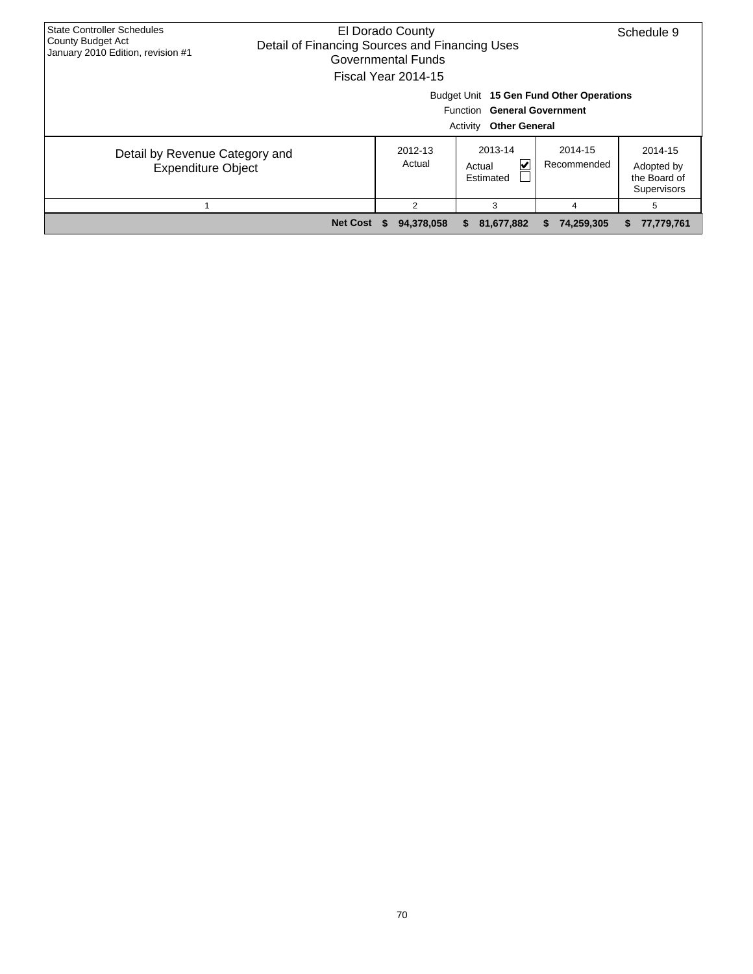| <b>State Controller Schedules</b><br>County Budget Act<br>January 2010 Edition, revision #1 | El Dorado County<br>Detail of Financing Sources and Financing Uses<br>Governmental Funds<br>Fiscal Year 2014-15 | Schedule 9        |                                                           |                        |                                                      |  |  |  |  |  |
|---------------------------------------------------------------------------------------------|-----------------------------------------------------------------------------------------------------------------|-------------------|-----------------------------------------------------------|------------------------|------------------------------------------------------|--|--|--|--|--|
|                                                                                             | Budget Unit 15 Gen Fund Other Operations<br>Function General Government<br>Activity<br><b>Other General</b>     |                   |                                                           |                        |                                                      |  |  |  |  |  |
| Detail by Revenue Category and<br><b>Expenditure Object</b>                                 |                                                                                                                 | 2012-13<br>Actual | 2013-14<br>$\vert \checkmark\vert$<br>Actual<br>Estimated | 2014-15<br>Recommended | 2014-15<br>Adopted by<br>the Board of<br>Supervisors |  |  |  |  |  |
|                                                                                             |                                                                                                                 | $\overline{2}$    | 3                                                         | 4                      | 5                                                    |  |  |  |  |  |
|                                                                                             | <b>Net Cost</b>                                                                                                 | 94,378,058        | 81,677,882<br>SS.                                         | 74,259,305<br>æ.       | 77,779,761<br>æ.                                     |  |  |  |  |  |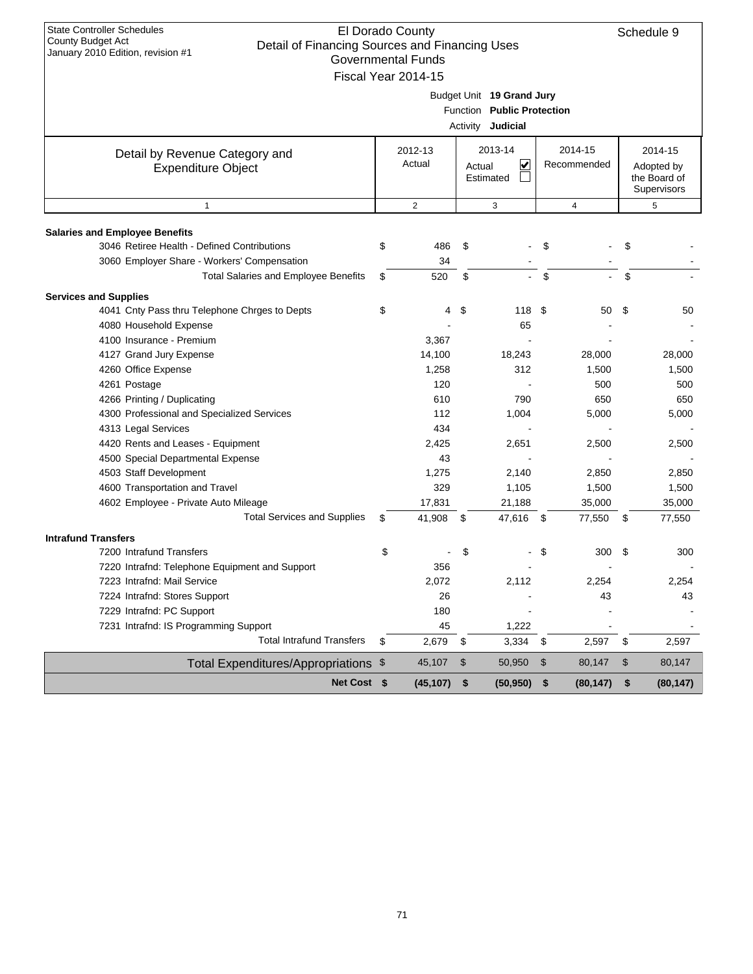| <b>State Controller Schedules</b><br>El Dorado County<br>County Budget Act<br>Detail of Financing Sources and Financing Uses<br>January 2010 Edition, revision #1<br><b>Governmental Funds</b><br>Fiscal Year 2014-15 |    |                   |    |                                      |                        |           |                                                      | Schedule 9 |
|-----------------------------------------------------------------------------------------------------------------------------------------------------------------------------------------------------------------------|----|-------------------|----|--------------------------------------|------------------------|-----------|------------------------------------------------------|------------|
| Budget Unit 19 Grand Jury<br>Function Public Protection<br>Activity Judicial                                                                                                                                          |    |                   |    |                                      |                        |           |                                                      |            |
| Detail by Revenue Category and<br><b>Expenditure Object</b>                                                                                                                                                           |    | 2012-13<br>Actual |    | 2013-14<br>∣✔<br>Actual<br>Estimated | 2014-15<br>Recommended |           | 2014-15<br>Adopted by<br>the Board of<br>Supervisors |            |
| $\mathbf{1}$                                                                                                                                                                                                          |    | $\overline{2}$    |    | 3                                    |                        | 4         | 5                                                    |            |
| <b>Salaries and Employee Benefits</b>                                                                                                                                                                                 |    |                   |    |                                      |                        |           |                                                      |            |
| 3046 Retiree Health - Defined Contributions<br>3060 Employer Share - Workers' Compensation                                                                                                                            | \$ | 486<br>34         | \$ |                                      | \$                     |           | \$                                                   |            |
| Total Salaries and Employee Benefits                                                                                                                                                                                  | \$ | 520               | \$ |                                      | \$                     |           | \$                                                   |            |
| <b>Services and Supplies</b>                                                                                                                                                                                          |    |                   |    |                                      |                        |           |                                                      |            |
| 4041 Cnty Pass thru Telephone Chrges to Depts                                                                                                                                                                         | \$ | 4                 | \$ | 118 \$                               |                        | 50        | \$                                                   | 50         |
| 4080 Household Expense                                                                                                                                                                                                |    |                   |    | 65                                   |                        |           |                                                      |            |
| 4100 Insurance - Premium                                                                                                                                                                                              |    | 3,367             |    |                                      |                        |           |                                                      |            |
| 4127 Grand Jury Expense                                                                                                                                                                                               |    | 14,100            |    | 18,243                               |                        | 28,000    |                                                      | 28,000     |
| 4260 Office Expense                                                                                                                                                                                                   |    | 1,258             |    | 312                                  |                        | 1,500     |                                                      | 1,500      |
| 4261 Postage                                                                                                                                                                                                          |    | 120               |    |                                      |                        | 500       |                                                      | 500        |
| 4266 Printing / Duplicating                                                                                                                                                                                           |    | 610               |    | 790                                  |                        | 650       |                                                      | 650        |
| 4300 Professional and Specialized Services                                                                                                                                                                            |    | 112               |    | 1,004                                |                        | 5,000     |                                                      | 5,000      |
| 4313 Legal Services                                                                                                                                                                                                   |    | 434               |    |                                      |                        |           |                                                      |            |
| 4420 Rents and Leases - Equipment                                                                                                                                                                                     |    | 2,425             |    | 2,651                                |                        | 2,500     |                                                      | 2,500      |
| 4500 Special Departmental Expense                                                                                                                                                                                     |    | 43                |    |                                      |                        |           |                                                      |            |
| 4503 Staff Development                                                                                                                                                                                                |    | 1,275             |    | 2,140                                |                        | 2,850     |                                                      | 2,850      |
| 4600 Transportation and Travel                                                                                                                                                                                        |    | 329               |    | 1,105                                |                        | 1,500     |                                                      | 1,500      |
| 4602 Employee - Private Auto Mileage                                                                                                                                                                                  |    | 17,831            |    | 21,188                               |                        | 35,000    |                                                      | 35,000     |
| <b>Total Services and Supplies</b>                                                                                                                                                                                    | \$ | 41,908            | \$ | 47,616                               | \$                     | 77,550    | \$                                                   | 77,550     |
| <b>Intrafund Transfers</b>                                                                                                                                                                                            |    |                   |    |                                      |                        |           |                                                      |            |
| 7200 Intrafund Transfers                                                                                                                                                                                              | \$ |                   | \$ |                                      | \$                     | 300       | \$                                                   | 300        |
| 7220 Intrafnd: Telephone Equipment and Support                                                                                                                                                                        |    | 356               |    |                                      |                        |           |                                                      |            |
| 7223 Intrafnd: Mail Service                                                                                                                                                                                           |    | 2,072             |    | 2,112                                |                        | 2,254     |                                                      | 2,254      |
| 7224 Intrafnd: Stores Support                                                                                                                                                                                         |    | 26                |    |                                      |                        | 43        |                                                      | 43         |
| 7229 Intrafnd: PC Support                                                                                                                                                                                             |    | 180               |    |                                      |                        |           |                                                      |            |
| 7231 Intrafnd: IS Programming Support                                                                                                                                                                                 |    | 45                |    | 1,222                                |                        |           |                                                      |            |
| <b>Total Intrafund Transfers</b>                                                                                                                                                                                      | \$ | 2,679             | \$ | $3,334$ \$                           |                        | 2,597     | \$                                                   | 2,597      |
| Total Expenditures/Appropriations \$                                                                                                                                                                                  |    | 45,107            | \$ | 50,950                               | $\sqrt{2}$             | 80,147    | \$                                                   | 80,147     |
| Net Cost \$                                                                                                                                                                                                           |    | (45, 107)         | \$ | (50, 950)                            | \$                     | (80, 147) | \$                                                   | (80, 147)  |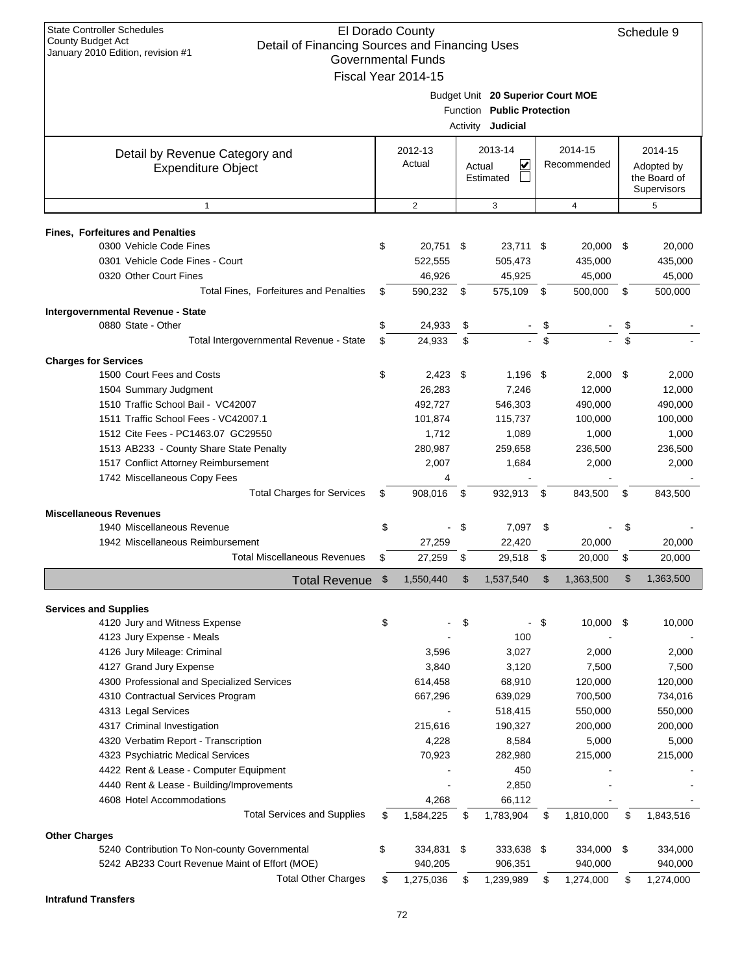| $\alpha$ ilualy 2010 Lullion, itevision $\pi$ i | Governmental Funds  |                 |                                   |             |            |            |              |
|-------------------------------------------------|---------------------|-----------------|-----------------------------------|-------------|------------|------------|--------------|
|                                                 | Fiscal Year 2014-15 |                 |                                   |             |            |            |              |
|                                                 |                     |                 | Budget Unit 20 Superior Court MOE |             |            |            |              |
|                                                 |                     | <b>Function</b> | <b>Public Protection</b>          |             |            |            |              |
|                                                 |                     | Activity        | Judicial                          |             |            |            |              |
| Detail by Revenue Category and                  | 2012-13             |                 | 2013-14                           |             | 2014-15    |            | 2014-15      |
| <b>Expenditure Object</b>                       | Actual              | V<br>Actual     |                                   | Recommended |            | Adopted by |              |
|                                                 |                     |                 | Estimated                         |             |            |            | the Board of |
|                                                 |                     |                 |                                   |             |            |            | Supervisors  |
| 1                                               | $\overline{2}$      |                 | 3                                 |             | 4          |            | 5            |
| <b>Fines, Forfeitures and Penalties</b>         |                     |                 |                                   |             |            |            |              |
| 0300 Vehicle Code Fines                         | \$<br>20,751        | - \$            | 23,711 \$                         |             | 20,000     | - \$       | 20,000       |
| 0301 Vehicle Code Fines - Court                 | 522,555             |                 | 505,473                           |             | 435,000    |            | 435,000      |
| 0320 Other Court Fines                          | 46,926              |                 | 45,925                            |             | 45,000     |            | 45,000       |
| <b>Total Fines, Forfeitures and Penalties</b>   | \$<br>590,232       | \$              | 575,109                           | \$          | 500,000    | \$         | 500,000      |
| Intergovernmental Revenue - State               |                     |                 |                                   |             |            |            |              |
| 0880 State - Other                              | \$<br>24,933        | \$              |                                   | \$          |            | \$         |              |
| Total Intergovernmental Revenue - State         | \$<br>24,933        | \$              |                                   | \$          |            | \$         |              |
| <b>Charges for Services</b>                     |                     |                 |                                   |             |            |            |              |
| 1500 Court Fees and Costs                       | \$<br>$2,423$ \$    |                 | $1,196$ \$                        |             | $2,000$ \$ |            | 2,000        |
| 1504 Summary Judgment                           | 26,283              |                 | 7,246                             |             | 12,000     |            | 12,000       |
| 1510 Traffic School Bail - VC42007              | 492,727             |                 | 546,303                           |             | 490,000    |            | 490,000      |
| 1511 Traffic School Fees - VC42007.1            | 101,874             |                 | 115,737                           |             | 100,000    |            | 100,000      |
| 1512 Cite Fees - PC1463.07 GC29550              | 1,712               |                 | 1,089                             |             | 1,000      |            | 1,000        |
| 1513 AB233 - County Share State Penalty         | 280,987             |                 | 259,658                           |             | 236,500    |            | 236,500      |
| 1517 Conflict Attorney Reimbursement            | 2,007               |                 | 1,684                             |             | 2,000      |            | 2,000        |
| 1742 Miscellaneous Copy Fees                    | 4                   |                 |                                   |             |            |            |              |
| <b>Total Charges for Services</b>               | \$<br>908,016       | \$              | 932,913                           | \$          | 843,500    | \$         | 843,500      |
| <b>Miscellaneous Revenues</b>                   |                     |                 |                                   |             |            |            |              |
| 1940 Miscellaneous Revenue                      | \$                  | \$              | 7,097                             | -\$         |            | \$         |              |
| 1942 Miscellaneous Reimbursement                | 27,259              |                 | 22,420                            |             | 20,000     |            | 20,000       |
| <b>Total Miscellaneous Revenues</b>             | \$<br>27,259        | \$              | 29,518                            | \$          | 20,000     | \$         | 20,000       |
| <b>Total Revenue</b>                            | \$<br>1,550,440     | \$              | 1,537,540                         | \$          | 1,363,500  | \$         | 1,363,500    |
| <b>Services and Supplies</b>                    |                     |                 |                                   |             |            |            |              |
| 4120 Jury and Witness Expense                   | \$                  | \$              |                                   | - \$        | 10,000     | - \$       | 10,000       |
| 4123 Jury Expense - Meals                       |                     |                 | 100                               |             |            |            |              |
| 4126 Jury Mileage: Criminal                     | 3,596               |                 | 3,027                             |             | 2,000      |            | 2,000        |
| 4127 Grand Jury Expense                         | 3,840               |                 | 3,120                             |             | 7,500      |            | 7,500        |
| 4300 Professional and Specialized Services      | 614,458             |                 | 68,910                            |             | 120,000    |            | 120,000      |
| 4310 Contractual Services Program               | 667,296             |                 | 639,029                           |             | 700,500    |            | 734,016      |
| 4313 Legal Services                             |                     |                 | 518,415                           |             | 550,000    |            | 550,000      |
| 4317 Criminal Investigation                     | 215,616             |                 | 190,327                           |             | 200,000    |            | 200,000      |
| 4320 Verbatim Report - Transcription            | 4,228               |                 | 8,584                             |             | 5,000      |            | 5,000        |
| 4323 Psychiatric Medical Services               | 70,923              |                 | 282,980                           |             | 215,000    |            | 215,000      |
| 4422 Rent & Lease - Computer Equipment          |                     |                 | 450                               |             |            |            |              |
| 4440 Rent & Lease - Building/Improvements       |                     |                 | 2,850                             |             |            |            |              |
| 4608 Hotel Accommodations                       | 4,268               |                 | 66,112                            |             |            |            |              |
| <b>Total Services and Supplies</b>              | \$<br>1,584,225     | \$              | 1,783,904                         | \$          | 1,810,000  | \$         | 1,843,516    |
| <b>Other Charges</b>                            |                     |                 |                                   |             |            |            |              |
| 5240 Contribution To Non-county Governmental    | \$<br>334,831 \$    |                 | 333,638 \$                        |             | 334,000    | \$         | 334,000      |
| 5242 AB233 Court Revenue Maint of Effort (MOE)  | 940,205             |                 | 906,351                           |             | 940,000    |            | 940,000      |
| <b>Total Other Charges</b>                      | \$<br>1,275,036     | \$              | 1,239,989                         | \$          | 1,274,000  | \$         | 1,274,000    |

**Intrafund Transfers**